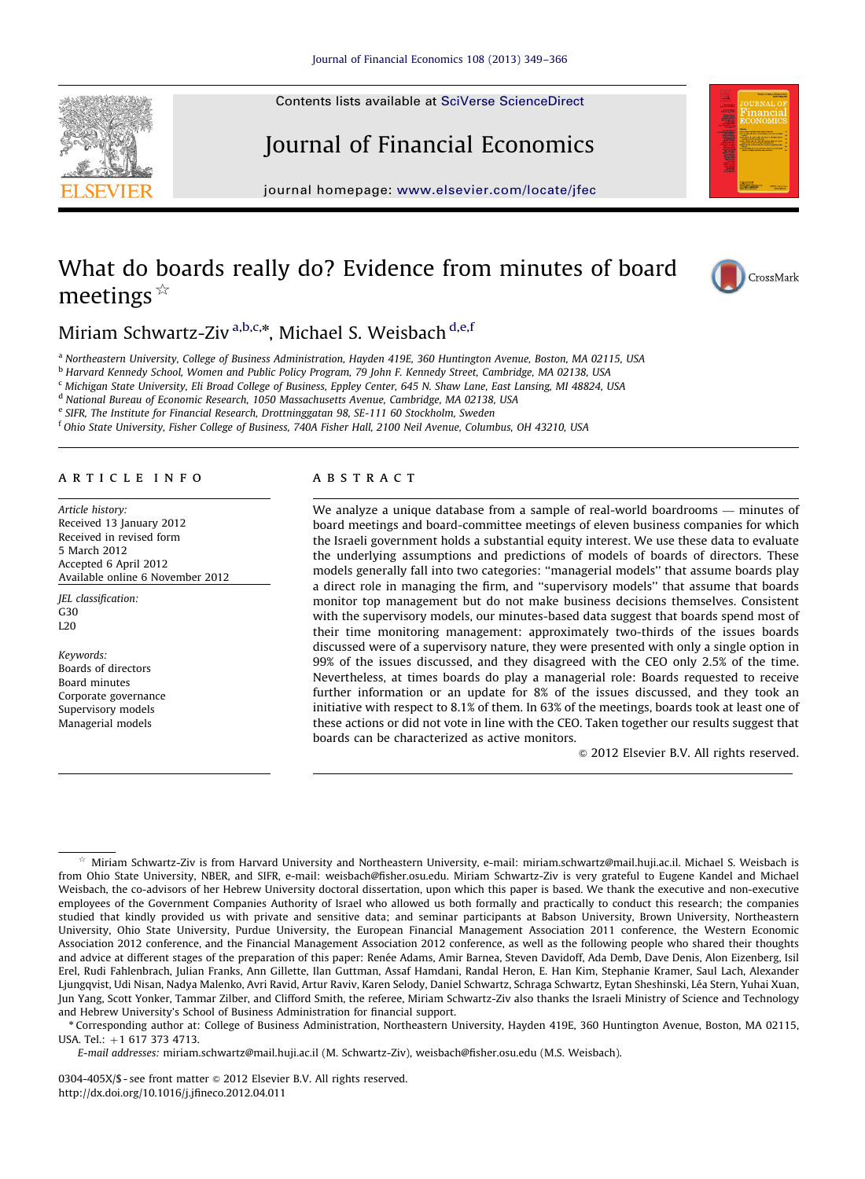Contents lists available at [SciVerse ScienceDirect](www.elsevier.com/locate/jfec)

# Journal of Financial Economics

journal homepage: <www.elsevier.com/locate/jfec>

# What do boards really do? Evidence from minutes of board meetings $\frac{1}{x}$



Miriam Schwartz-Ziv<sup>a,b,c,</sup>\*, Michael S. Weisbach <sup>d,e,f</sup>

<sup>a</sup> Northeastern University, College of Business Administration, Hayden 419E, 360 Huntington Avenue, Boston, MA 02115, USA

<sup>b</sup> Harvard Kennedy School, Women and Public Policy Program, 79 John F. Kennedy Street, Cambridge, MA 02138, USA

<sup>c</sup> Michigan State University, Eli Broad College of Business, Eppley Center, 645 N. Shaw Lane, East Lansing, MI 48824, USA

<sup>d</sup> National Bureau of Economic Research, 1050 Massachusetts Avenue, Cambridge, MA 02138, USA

e SIFR, The Institute for Financial Research, Drottninggatan 98, SE-111 60 Stockholm, Sweden

<sup>f</sup> Ohio State University, Fisher College of Business, 740A Fisher Hall, 2100 Neil Avenue, Columbus, OH 43210, USA

## article info

Article history: Received 13 January 2012 Received in revised form 5 March 2012 Accepted 6 April 2012 Available online 6 November 2012

JEL classification: G30  $L20$ 

Keywords: Boards of directors Board minutes Corporate governance Supervisory models Managerial models

# **ARSTRACT**

We analyze a unique database from a sample of real-world boardrooms — minutes of board meetings and board-committee meetings of eleven business companies for which the Israeli government holds a substantial equity interest. We use these data to evaluate the underlying assumptions and predictions of models of boards of directors. These models generally fall into two categories: ''managerial models'' that assume boards play a direct role in managing the firm, and ''supervisory models'' that assume that boards monitor top management but do not make business decisions themselves. Consistent with the supervisory models, our minutes-based data suggest that boards spend most of their time monitoring management: approximately two-thirds of the issues boards discussed were of a supervisory nature, they were presented with only a single option in 99% of the issues discussed, and they disagreed with the CEO only 2.5% of the time. Nevertheless, at times boards do play a managerial role: Boards requested to receive further information or an update for 8% of the issues discussed, and they took an initiative with respect to 8.1% of them. In 63% of the meetings, boards took at least one of these actions or did not vote in line with the CEO. Taken together our results suggest that boards can be characterized as active monitors.

 $\odot$  2012 Elsevier B.V. All rights reserved.



Miriam Schwartz-Ziv is from Harvard University and Northeastern University, e-mail: miriam.schwartz@mail.huji.ac.il. Michael S. Weisbach is from Ohio State University, NBER, and SIFR, e-mail: weisbach@fisher.osu.edu. Miriam Schwartz-Ziv is very grateful to Eugene Kandel and Michael Weisbach, the co-advisors of her Hebrew University doctoral dissertation, upon which this paper is based. We thank the executive and non-executive employees of the Government Companies Authority of Israel who allowed us both formally and practically to conduct this research; the companies studied that kindly provided us with private and sensitive data; and seminar participants at Babson University, Brown University, Northeastern University, Ohio State University, Purdue University, the European Financial Management Association 2011 conference, the Western Economic Association 2012 conference, and the Financial Management Association 2012 conference, as well as the following people who shared their thoughts and advice at different stages of the preparation of this paper: Renée Adams, Amir Barnea, Steven Davidoff, Ada Demb, Dave Denis, Alon Eizenberg, Isil Erel, Rudi Fahlenbrach, Julian Franks, Ann Gillette, Ilan Guttman, Assaf Hamdani, Randal Heron, E. Han Kim, Stephanie Kramer, Saul Lach, Alexander Ljungqvist, Udi Nisan, Nadya Malenko, Avri Ravid, Artur Raviv, Karen Selody, Daniel Schwartz, Schraga Schwartz, Eytan Sheshinski, Léa Stern, Yuhai Xuan, Jun Yang, Scott Yonker, Tammar Zilber, and Clifford Smith, the referee, Miriam Schwartz-Ziv also thanks the Israeli Ministry of Science and Technology and Hebrew University's School of Business Administration for financial support.

<sup>n</sup> Corresponding author at: College of Business Administration, Northeastern University, Hayden 419E, 360 Huntington Avenue, Boston, MA 02115, USA. Tel.:  $+1$  617 373 4713.

E-mail addresses: [miriam.schwartz@mail.huji.ac.il \(M. Schwartz-Ziv\),](mailto:miriam.schwartz@mail.huji.ac.il) [weisbach@fisher.osu.edu \(M.S. Weisbach\)](mailto:weisbach@fisher.osu.edu).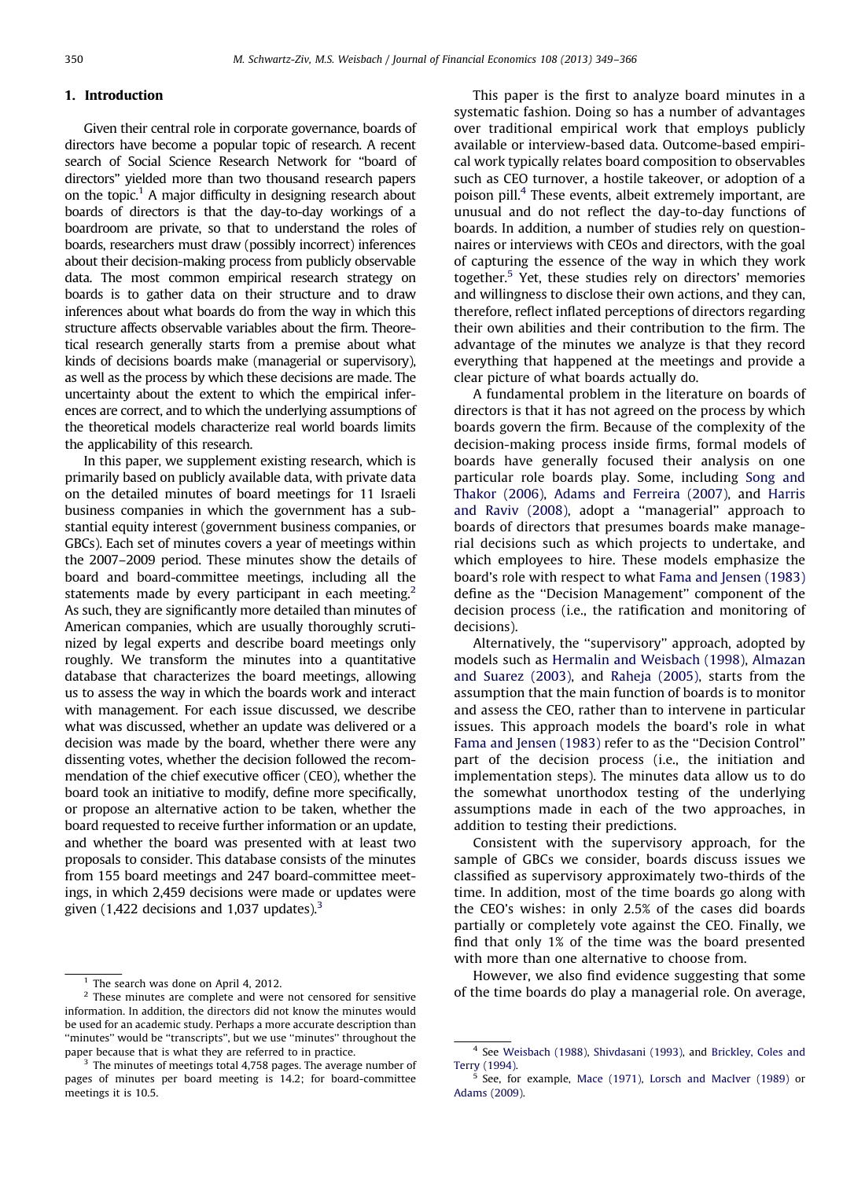# 1. Introduction

Given their central role in corporate governance, boards of directors have become a popular topic of research. A recent search of Social Science Research Network for ''board of directors'' yielded more than two thousand research papers on the topic.<sup>1</sup> A major difficulty in designing research about boards of directors is that the day-to-day workings of a boardroom are private, so that to understand the roles of boards, researchers must draw (possibly incorrect) inferences about their decision-making process from publicly observable data. The most common empirical research strategy on boards is to gather data on their structure and to draw inferences about what boards do from the way in which this structure affects observable variables about the firm. Theoretical research generally starts from a premise about what kinds of decisions boards make (managerial or supervisory), as well as the process by which these decisions are made. The uncertainty about the extent to which the empirical inferences are correct, and to which the underlying assumptions of the theoretical models characterize real world boards limits the applicability of this research.

In this paper, we supplement existing research, which is primarily based on publicly available data, with private data on the detailed minutes of board meetings for 11 Israeli business companies in which the government has a substantial equity interest (government business companies, or GBCs). Each set of minutes covers a year of meetings within the 2007–2009 period. These minutes show the details of board and board-committee meetings, including all the statements made by every participant in each meeting.<sup>2</sup> As such, they are significantly more detailed than minutes of American companies, which are usually thoroughly scrutinized by legal experts and describe board meetings only roughly. We transform the minutes into a quantitative database that characterizes the board meetings, allowing us to assess the way in which the boards work and interact with management. For each issue discussed, we describe what was discussed, whether an update was delivered or a decision was made by the board, whether there were any dissenting votes, whether the decision followed the recommendation of the chief executive officer (CEO), whether the board took an initiative to modify, define more specifically, or propose an alternative action to be taken, whether the board requested to receive further information or an update, and whether the board was presented with at least two proposals to consider. This database consists of the minutes from 155 board meetings and 247 board-committee meetings, in which 2,459 decisions were made or updates were given (1,422 decisions and 1,037 updates). $3$ 

This paper is the first to analyze board minutes in a systematic fashion. Doing so has a number of advantages over traditional empirical work that employs publicly available or interview-based data. Outcome-based empirical work typically relates board composition to observables such as CEO turnover, a hostile takeover, or adoption of a poison pill.4 These events, albeit extremely important, are unusual and do not reflect the day-to-day functions of boards. In addition, a number of studies rely on questionnaires or interviews with CEOs and directors, with the goal of capturing the essence of the way in which they work together.5 Yet, these studies rely on directors' memories and willingness to disclose their own actions, and they can, therefore, reflect inflated perceptions of directors regarding their own abilities and their contribution to the firm. The advantage of the minutes we analyze is that they record everything that happened at the meetings and provide a clear picture of what boards actually do.

A fundamental problem in the literature on boards of directors is that it has not agreed on the process by which boards govern the firm. Because of the complexity of the decision-making process inside firms, formal models of boards have generally focused their analysis on one particular role boards play. Some, including [Song and](#page-17-0) [Thakor \(2006\)](#page-17-0), [Adams and Ferreira \(2007\)](#page-17-0), and [Harris](#page-17-0) [and Raviv \(2008\)](#page-17-0), adopt a ''managerial'' approach to boards of directors that presumes boards make managerial decisions such as which projects to undertake, and which employees to hire. These models emphasize the board's role with respect to what [Fama and Jensen \(1983\)](#page-17-0) define as the ''Decision Management'' component of the decision process (i.e., the ratification and monitoring of decisions).

Alternatively, the ''supervisory'' approach, adopted by models such as [Hermalin and Weisbach \(1998\)](#page-17-0), [Almazan](#page-17-0) [and Suarez \(2003\),](#page-17-0) and [Raheja \(2005\),](#page-17-0) starts from the assumption that the main function of boards is to monitor and assess the CEO, rather than to intervene in particular issues. This approach models the board's role in what [Fama and Jensen \(1983\)](#page-17-0) refer to as the ''Decision Control'' part of the decision process (i.e., the initiation and implementation steps). The minutes data allow us to do the somewhat unorthodox testing of the underlying assumptions made in each of the two approaches, in addition to testing their predictions.

Consistent with the supervisory approach, for the sample of GBCs we consider, boards discuss issues we classified as supervisory approximately two-thirds of the time. In addition, most of the time boards go along with the CEO's wishes: in only 2.5% of the cases did boards partially or completely vote against the CEO. Finally, we find that only 1% of the time was the board presented with more than one alternative to choose from.

However, we also find evidence suggesting that some of the time boards do play a managerial role. On average,

 $<sup>1</sup>$  The search was done on April 4, 2012.</sup>

<sup>&</sup>lt;sup>2</sup> These minutes are complete and were not censored for sensitive information. In addition, the directors did not know the minutes would be used for an academic study. Perhaps a more accurate description than ''minutes'' would be ''transcripts'', but we use ''minutes'' throughout the paper because that is what they are referred to in practice.

 $3$  The minutes of meetings total 4,758 pages. The average number of pages of minutes per board meeting is 14.2; for board-committee meetings it is 10.5.

<sup>4</sup> See [Weisbach \(1988\),](#page-17-0) [Shivdasani \(1993\),](#page-17-0) and [Brickley, Coles and](#page-17-0) [Terry \(1994\).](#page-17-0)

<sup>5</sup> See, for example, [Mace \(1971\),](#page-17-0) [Lorsch and MacIver \(1989\)](#page-17-0) or [Adams \(2009\)](#page-17-0).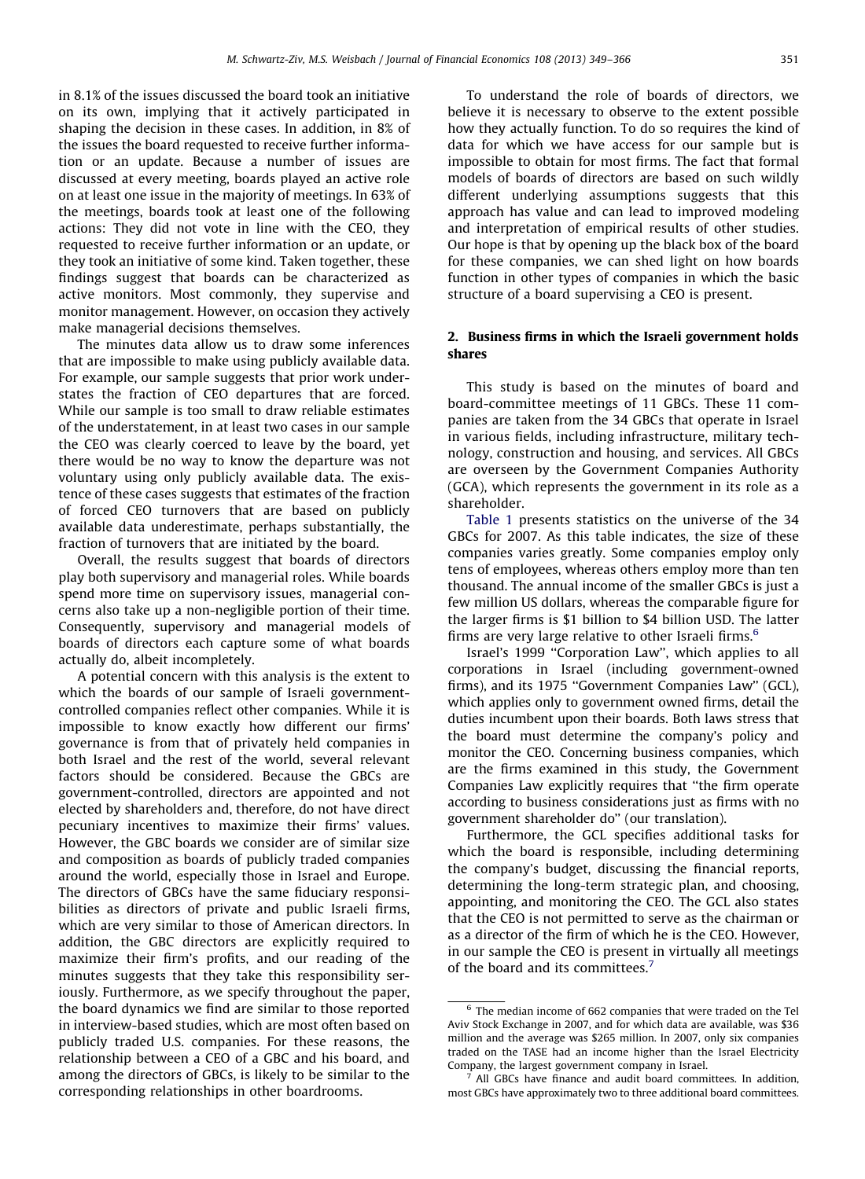in 8.1% of the issues discussed the board took an initiative on its own, implying that it actively participated in shaping the decision in these cases. In addition, in 8% of the issues the board requested to receive further information or an update. Because a number of issues are discussed at every meeting, boards played an active role on at least one issue in the majority of meetings. In 63% of the meetings, boards took at least one of the following actions: They did not vote in line with the CEO, they requested to receive further information or an update, or they took an initiative of some kind. Taken together, these findings suggest that boards can be characterized as active monitors. Most commonly, they supervise and monitor management. However, on occasion they actively make managerial decisions themselves.

The minutes data allow us to draw some inferences that are impossible to make using publicly available data. For example, our sample suggests that prior work understates the fraction of CEO departures that are forced. While our sample is too small to draw reliable estimates of the understatement, in at least two cases in our sample the CEO was clearly coerced to leave by the board, yet there would be no way to know the departure was not voluntary using only publicly available data. The existence of these cases suggests that estimates of the fraction of forced CEO turnovers that are based on publicly available data underestimate, perhaps substantially, the fraction of turnovers that are initiated by the board.

Overall, the results suggest that boards of directors play both supervisory and managerial roles. While boards spend more time on supervisory issues, managerial concerns also take up a non-negligible portion of their time. Consequently, supervisory and managerial models of boards of directors each capture some of what boards actually do, albeit incompletely.

A potential concern with this analysis is the extent to which the boards of our sample of Israeli governmentcontrolled companies reflect other companies. While it is impossible to know exactly how different our firms' governance is from that of privately held companies in both Israel and the rest of the world, several relevant factors should be considered. Because the GBCs are government-controlled, directors are appointed and not elected by shareholders and, therefore, do not have direct pecuniary incentives to maximize their firms' values. However, the GBC boards we consider are of similar size and composition as boards of publicly traded companies around the world, especially those in Israel and Europe. The directors of GBCs have the same fiduciary responsibilities as directors of private and public Israeli firms, which are very similar to those of American directors. In addition, the GBC directors are explicitly required to maximize their firm's profits, and our reading of the minutes suggests that they take this responsibility seriously. Furthermore, as we specify throughout the paper, the board dynamics we find are similar to those reported in interview-based studies, which are most often based on publicly traded U.S. companies. For these reasons, the relationship between a CEO of a GBC and his board, and among the directors of GBCs, is likely to be similar to the corresponding relationships in other boardrooms.

To understand the role of boards of directors, we believe it is necessary to observe to the extent possible how they actually function. To do so requires the kind of data for which we have access for our sample but is impossible to obtain for most firms. The fact that formal models of boards of directors are based on such wildly different underlying assumptions suggests that this approach has value and can lead to improved modeling and interpretation of empirical results of other studies. Our hope is that by opening up the black box of the board for these companies, we can shed light on how boards function in other types of companies in which the basic structure of a board supervising a CEO is present.

# 2. Business firms in which the Israeli government holds shares

This study is based on the minutes of board and board-committee meetings of 11 GBCs. These 11 companies are taken from the 34 GBCs that operate in Israel in various fields, including infrastructure, military technology, construction and housing, and services. All GBCs are overseen by the Government Companies Authority (GCA), which represents the government in its role as a shareholder.

[Table 1](#page-3-0) presents statistics on the universe of the 34 GBCs for 2007. As this table indicates, the size of these companies varies greatly. Some companies employ only tens of employees, whereas others employ more than ten thousand. The annual income of the smaller GBCs is just a few million US dollars, whereas the comparable figure for the larger firms is \$1 billion to \$4 billion USD. The latter firms are very large relative to other Israeli firms.<sup>6</sup>

Israel's 1999 ''Corporation Law'', which applies to all corporations in Israel (including government-owned firms), and its 1975 "Government Companies Law" (GCL), which applies only to government owned firms, detail the duties incumbent upon their boards. Both laws stress that the board must determine the company's policy and monitor the CEO. Concerning business companies, which are the firms examined in this study, the Government Companies Law explicitly requires that ''the firm operate according to business considerations just as firms with no government shareholder do'' (our translation).

Furthermore, the GCL specifies additional tasks for which the board is responsible, including determining the company's budget, discussing the financial reports, determining the long-term strategic plan, and choosing, appointing, and monitoring the CEO. The GCL also states that the CEO is not permitted to serve as the chairman or as a director of the firm of which he is the CEO. However, in our sample the CEO is present in virtually all meetings of the board and its committees.<sup>7</sup>

 $6$  The median income of 662 companies that were traded on the Tel Aviv Stock Exchange in 2007, and for which data are available, was \$36 million and the average was \$265 million. In 2007, only six companies traded on the TASE had an income higher than the Israel Electricity Company, the largest government company in Israel.

 $^7$  All GBCs have finance and audit board committees. In addition, most GBCs have approximately two to three additional board committees.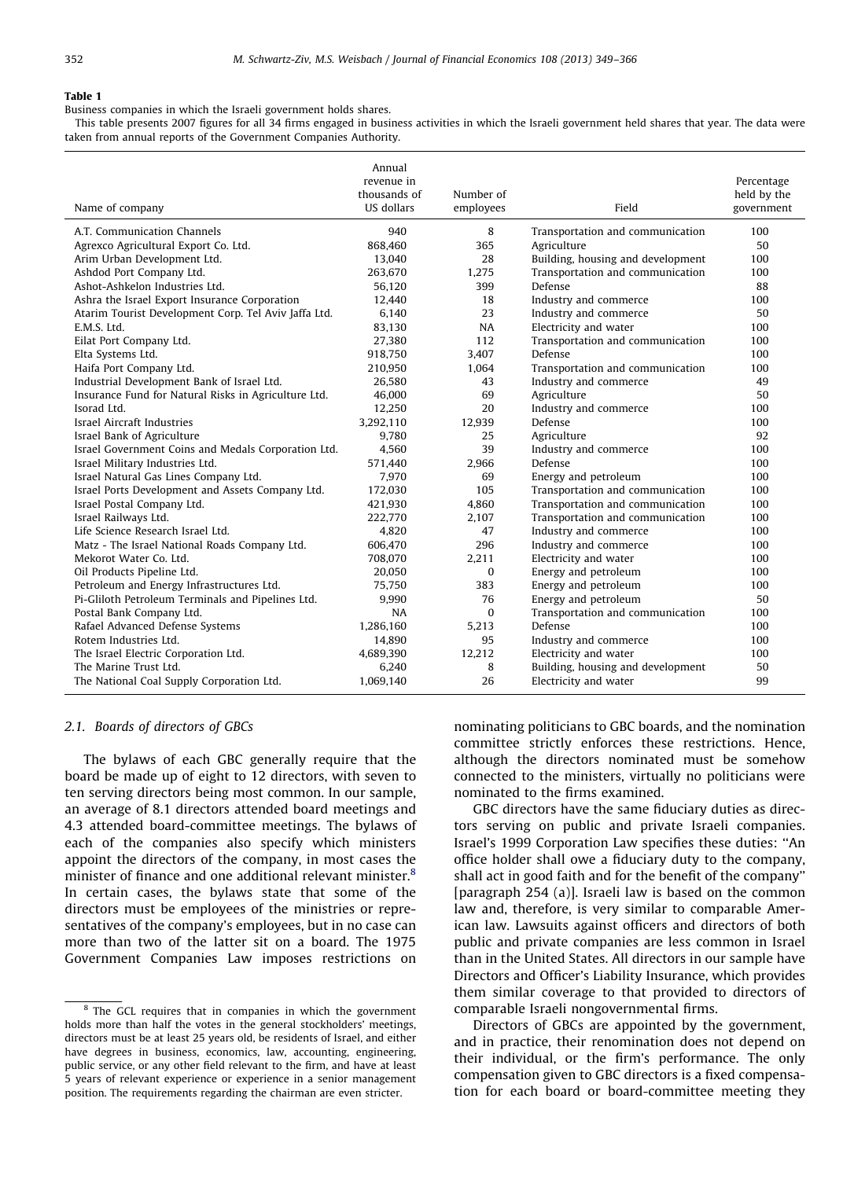<span id="page-3-0"></span>Business companies in which the Israeli government holds shares.

This table presents 2007 figures for all 34 firms engaged in business activities in which the Israeli government held shares that year. The data were taken from annual reports of the Government Companies Authority.

| Name of company                                      | Annual<br>revenue in<br>thousands of<br><b>US dollars</b> | Number of<br>employees | Field                             | Percentage<br>held by the<br>government |
|------------------------------------------------------|-----------------------------------------------------------|------------------------|-----------------------------------|-----------------------------------------|
| A.T. Communication Channels                          | 940                                                       | 8                      | Transportation and communication  | 100                                     |
| Agrexco Agricultural Export Co. Ltd.                 | 868,460                                                   | 365                    | Agriculture                       | 50                                      |
| Arim Urban Development Ltd.                          | 13.040                                                    | 28                     | Building, housing and development | 100                                     |
| Ashdod Port Company Ltd.                             | 263,670                                                   | 1,275                  | Transportation and communication  | 100                                     |
| Ashot-Ashkelon Industries Ltd.                       | 56.120                                                    | 399                    | Defense                           | 88                                      |
| Ashra the Israel Export Insurance Corporation        | 12,440                                                    | 18                     | Industry and commerce             | 100                                     |
| Atarim Tourist Development Corp. Tel Aviv Jaffa Ltd. | 6,140                                                     | 23                     | Industry and commerce             | 50                                      |
| E.M.S. Ltd.                                          | 83,130                                                    | NA                     | Electricity and water             | 100                                     |
| Eilat Port Company Ltd.                              | 27,380                                                    | 112                    | Transportation and communication  | 100                                     |
| Elta Systems Ltd.                                    | 918,750                                                   | 3.407                  | Defense                           | 100                                     |
| Haifa Port Company Ltd.                              | 210,950                                                   | 1,064                  | Transportation and communication  | 100                                     |
| Industrial Development Bank of Israel Ltd.           | 26.580                                                    | 43                     | Industry and commerce             | 49                                      |
| Insurance Fund for Natural Risks in Agriculture Ltd. | 46,000                                                    | 69                     | Agriculture                       | 50                                      |
| Isorad Ltd.                                          | 12,250                                                    | 20                     | Industry and commerce             | 100                                     |
| Israel Aircraft Industries                           | 3.292.110                                                 | 12.939                 | Defense                           | 100                                     |
| Israel Bank of Agriculture                           | 9.780                                                     | 25                     | Agriculture                       | 92                                      |
| Israel Government Coins and Medals Corporation Ltd.  | 4.560                                                     | 39                     | Industry and commerce             | 100                                     |
| Israel Military Industries Ltd.                      | 571,440                                                   | 2.966                  | Defense                           | 100                                     |
| Israel Natural Gas Lines Company Ltd.                | 7.970                                                     | 69                     | Energy and petroleum              | 100                                     |
| Israel Ports Development and Assets Company Ltd.     | 172,030                                                   | 105                    | Transportation and communication  | 100                                     |
| Israel Postal Company Ltd.                           | 421,930                                                   | 4.860                  | Transportation and communication  | 100                                     |
| Israel Railways Ltd.                                 | 222,770                                                   | 2.107                  | Transportation and communication  | 100                                     |
| Life Science Research Israel Ltd.                    | 4,820                                                     | 47                     | Industry and commerce             | 100                                     |
| Matz - The Israel National Roads Company Ltd.        | 606.470                                                   | 296                    | Industry and commerce             | 100                                     |
| Mekorot Water Co. Ltd.                               | 708,070                                                   | 2,211                  | Electricity and water             | 100                                     |
| Oil Products Pipeline Ltd.                           | 20,050                                                    | $\mathbf{0}$           | Energy and petroleum              | 100                                     |
| Petroleum and Energy Infrastructures Ltd.            | 75,750                                                    | 383                    | Energy and petroleum              | 100                                     |
| Pi-Gliloth Petroleum Terminals and Pipelines Ltd.    | 9,990                                                     | 76                     | Energy and petroleum              | 50                                      |
| Postal Bank Company Ltd.                             | <b>NA</b>                                                 | $\Omega$               | Transportation and communication  | 100                                     |
| Rafael Advanced Defense Systems                      | 1,286,160                                                 | 5.213                  | Defense                           | 100                                     |
| Rotem Industries Ltd.                                | 14.890                                                    | 95                     | Industry and commerce             | 100                                     |
| The Israel Electric Corporation Ltd.                 | 4,689,390                                                 | 12.212                 | Electricity and water             | 100                                     |
| The Marine Trust Ltd.                                | 6,240                                                     | 8                      | Building, housing and development | 50                                      |
| The National Coal Supply Corporation Ltd.            | 1.069.140                                                 | 26                     | Electricity and water             | 99                                      |

## 2.1. Boards of directors of GBCs

The bylaws of each GBC generally require that the board be made up of eight to 12 directors, with seven to ten serving directors being most common. In our sample, an average of 8.1 directors attended board meetings and 4.3 attended board-committee meetings. The bylaws of each of the companies also specify which ministers appoint the directors of the company, in most cases the minister of finance and one additional relevant minister.<sup>8</sup> In certain cases, the bylaws state that some of the directors must be employees of the ministries or representatives of the company's employees, but in no case can more than two of the latter sit on a board. The 1975 Government Companies Law imposes restrictions on

nominating politicians to GBC boards, and the nomination committee strictly enforces these restrictions. Hence, although the directors nominated must be somehow connected to the ministers, virtually no politicians were nominated to the firms examined.

GBC directors have the same fiduciary duties as directors serving on public and private Israeli companies. Israel's 1999 Corporation Law specifies these duties: ''An office holder shall owe a fiduciary duty to the company, shall act in good faith and for the benefit of the company'' [paragraph 254 (a)]. Israeli law is based on the common law and, therefore, is very similar to comparable American law. Lawsuits against officers and directors of both public and private companies are less common in Israel than in the United States. All directors in our sample have Directors and Officer's Liability Insurance, which provides them similar coverage to that provided to directors of comparable Israeli nongovernmental firms.

Directors of GBCs are appointed by the government, and in practice, their renomination does not depend on their individual, or the firm's performance. The only compensation given to GBC directors is a fixed compensation for each board or board-committee meeting they

<sup>&</sup>lt;sup>8</sup> The GCL requires that in companies in which the government holds more than half the votes in the general stockholders' meetings, directors must be at least 25 years old, be residents of Israel, and either have degrees in business, economics, law, accounting, engineering, public service, or any other field relevant to the firm, and have at least 5 years of relevant experience or experience in a senior management position. The requirements regarding the chairman are even stricter.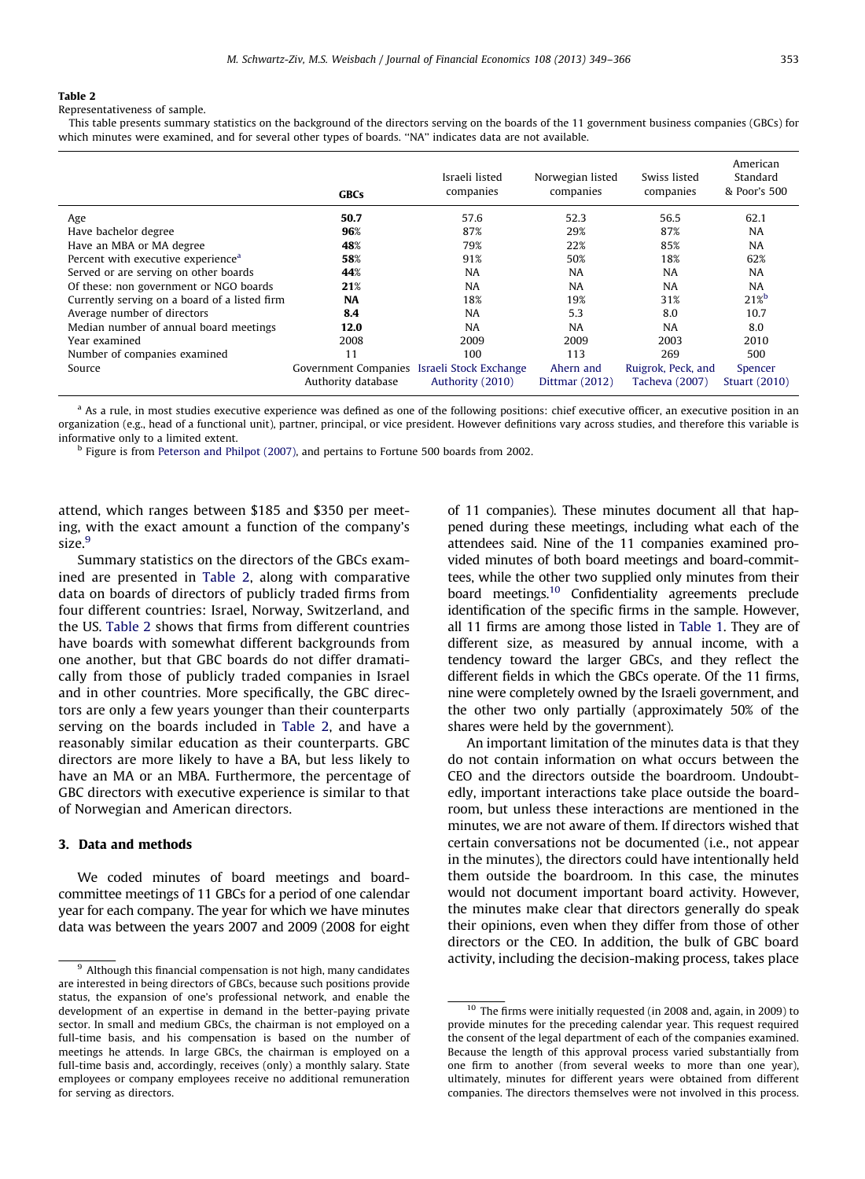<span id="page-4-0"></span>Representativeness of sample.

This table presents summary statistics on the background of the directors serving on the boards of the 11 government business companies (GBCs) for which minutes were examined, and for several other types of boards. ''NA'' indicates data are not available.

|                                                | <b>GBCs</b>                                 | Israeli listed<br>companies | Norwegian listed<br>companies | Swiss listed<br>companies | American<br>Standard<br>& Poor's 500 |
|------------------------------------------------|---------------------------------------------|-----------------------------|-------------------------------|---------------------------|--------------------------------------|
| Age                                            | 50.7                                        | 57.6                        | 52.3                          | 56.5                      | 62.1                                 |
| Have bachelor degree                           | 96%                                         | 87%                         | 29%                           | 87%                       | <b>NA</b>                            |
| Have an MBA or MA degree                       | 48%                                         | 79%                         | 22%                           | 85%                       | <b>NA</b>                            |
| Percent with executive experience <sup>a</sup> | 58%                                         | 91%                         | 50%                           | 18%                       | 62%                                  |
| Served or are serving on other boards          | 44%                                         | <b>NA</b>                   | <b>NA</b>                     | <b>NA</b>                 | <b>NA</b>                            |
| Of these: non government or NGO boards         | 21%                                         | <b>NA</b>                   | <b>NA</b>                     | <b>NA</b>                 | <b>NA</b>                            |
| Currently serving on a board of a listed firm  | <b>NA</b>                                   | 18%                         | 19%                           | 31%                       | $21\%$                               |
| Average number of directors                    | 8.4                                         | <b>NA</b>                   | 5.3                           | 8.0                       | 10.7                                 |
| Median number of annual board meetings         | 12.0                                        | <b>NA</b>                   | <b>NA</b>                     | <b>NA</b>                 | 8.0                                  |
| Year examined                                  | 2008                                        | 2009                        | 2009                          | 2003                      | 2010                                 |
| Number of companies examined                   | 11                                          | 100                         | 113                           | 269                       | 500                                  |
| Source                                         | Government Companies Israeli Stock Exchange |                             | Ahern and                     | Ruigrok, Peck, and        | Spencer                              |
|                                                | Authority database                          | Authority (2010)            | Dittmar (2012)                | Tacheva (2007)            | <b>Stuart (2010)</b>                 |

<sup>a</sup> As a rule, in most studies executive experience was defined as one of the following positions: chief executive officer, an executive position in an organization (e.g., head of a functional unit), partner, principal, or vice president. However definitions vary across studies, and therefore this variable is informative only to a limited extent.

<sup>b</sup> Figure is from [Peterson and Philpot \(2007\)](#page-17-0), and pertains to Fortune 500 boards from 2002.

attend, which ranges between \$185 and \$350 per meeting, with the exact amount a function of the company's size.<sup>9</sup>

Summary statistics on the directors of the GBCs examined are presented in Table 2, along with comparative data on boards of directors of publicly traded firms from four different countries: Israel, Norway, Switzerland, and the US. Table 2 shows that firms from different countries have boards with somewhat different backgrounds from one another, but that GBC boards do not differ dramatically from those of publicly traded companies in Israel and in other countries. More specifically, the GBC directors are only a few years younger than their counterparts serving on the boards included in Table 2, and have a reasonably similar education as their counterparts. GBC directors are more likely to have a BA, but less likely to have an MA or an MBA. Furthermore, the percentage of GBC directors with executive experience is similar to that of Norwegian and American directors.

# 3. Data and methods

We coded minutes of board meetings and boardcommittee meetings of 11 GBCs for a period of one calendar year for each company. The year for which we have minutes data was between the years 2007 and 2009 (2008 for eight of 11 companies). These minutes document all that happened during these meetings, including what each of the attendees said. Nine of the 11 companies examined provided minutes of both board meetings and board-committees, while the other two supplied only minutes from their board meetings.10 Confidentiality agreements preclude identification of the specific firms in the sample. However, all 11 firms are among those listed in [Table 1](#page-3-0). They are of different size, as measured by annual income, with a tendency toward the larger GBCs, and they reflect the different fields in which the GBCs operate. Of the 11 firms, nine were completely owned by the Israeli government, and the other two only partially (approximately 50% of the shares were held by the government).

An important limitation of the minutes data is that they do not contain information on what occurs between the CEO and the directors outside the boardroom. Undoubtedly, important interactions take place outside the boardroom, but unless these interactions are mentioned in the minutes, we are not aware of them. If directors wished that certain conversations not be documented (i.e., not appear in the minutes), the directors could have intentionally held them outside the boardroom. In this case, the minutes would not document important board activity. However, the minutes make clear that directors generally do speak their opinions, even when they differ from those of other directors or the CEO. In addition, the bulk of GBC board activity, including the decision-making process, takes place

 $9$  Although this financial compensation is not high, many candidates are interested in being directors of GBCs, because such positions provide status, the expansion of one's professional network, and enable the development of an expertise in demand in the better-paying private sector. In small and medium GBCs, the chairman is not employed on a full-time basis, and his compensation is based on the number of meetings he attends. In large GBCs, the chairman is employed on a full-time basis and, accordingly, receives (only) a monthly salary. State employees or company employees receive no additional remuneration for serving as directors.

<sup>&</sup>lt;sup>10</sup> The firms were initially requested (in 2008 and, again, in 2009) to provide minutes for the preceding calendar year. This request required the consent of the legal department of each of the companies examined. Because the length of this approval process varied substantially from one firm to another (from several weeks to more than one year), ultimately, minutes for different years were obtained from different companies. The directors themselves were not involved in this process.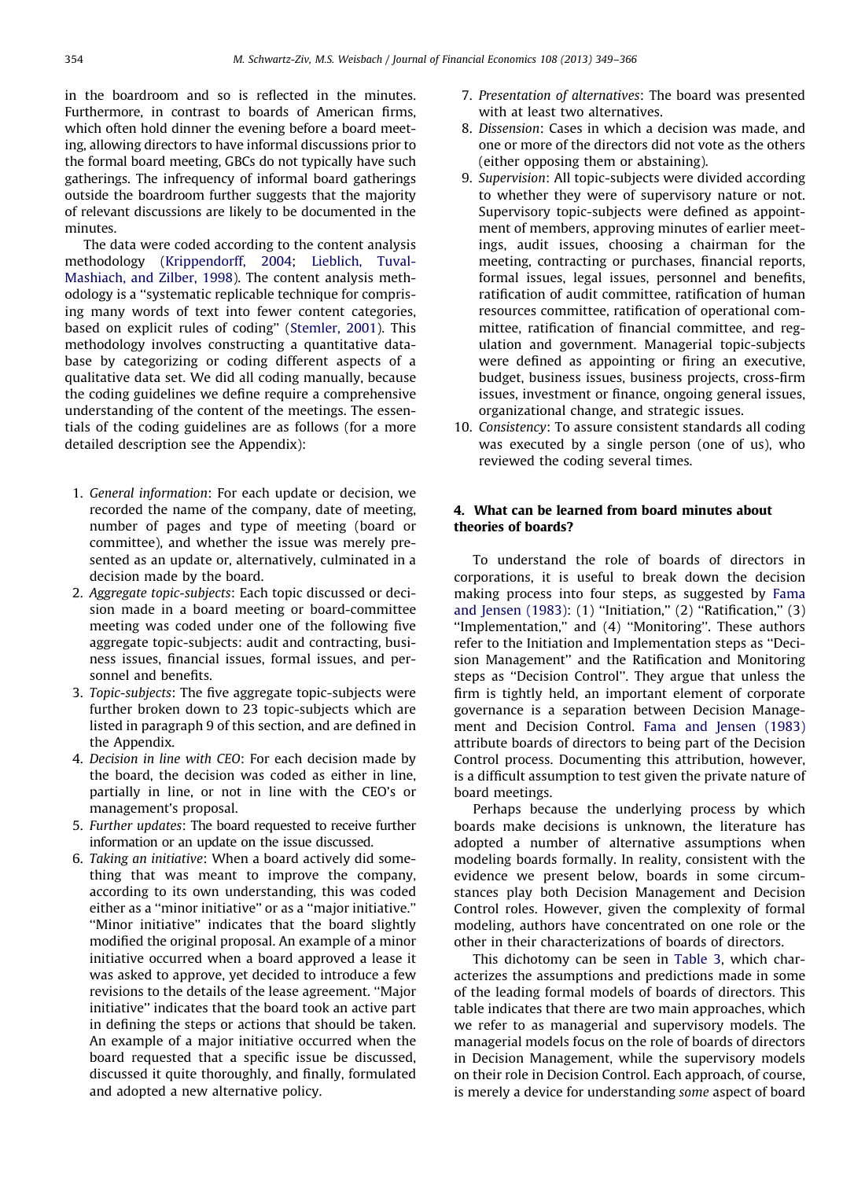in the boardroom and so is reflected in the minutes. Furthermore, in contrast to boards of American firms, which often hold dinner the evening before a board meeting, allowing directors to have informal discussions prior to the formal board meeting, GBCs do not typically have such gatherings. The infrequency of informal board gatherings outside the boardroom further suggests that the majority of relevant discussions are likely to be documented in the minutes.

The data were coded according to the content analysis methodology [\(Krippendorff, 2004;](#page-17-0) [Lieblich, Tuval-](#page-17-0)[Mashiach, and Zilber, 1998\)](#page-17-0). The content analysis methodology is a ''systematic replicable technique for comprising many words of text into fewer content categories, based on explicit rules of coding'' ([Stemler, 2001](#page-17-0)). This methodology involves constructing a quantitative database by categorizing or coding different aspects of a qualitative data set. We did all coding manually, because the coding guidelines we define require a comprehensive understanding of the content of the meetings. The essentials of the coding guidelines are as follows (for a more detailed description see the Appendix):

- 1. General information: For each update or decision, we recorded the name of the company, date of meeting, number of pages and type of meeting (board or committee), and whether the issue was merely presented as an update or, alternatively, culminated in a decision made by the board.
- 2. Aggregate topic-subjects: Each topic discussed or decision made in a board meeting or board-committee meeting was coded under one of the following five aggregate topic-subjects: audit and contracting, business issues, financial issues, formal issues, and personnel and benefits.
- 3. Topic-subjects: The five aggregate topic-subjects were further broken down to 23 topic-subjects which are listed in paragraph 9 of this section, and are defined in the Appendix.
- 4. Decision in line with CEO: For each decision made by the board, the decision was coded as either in line, partially in line, or not in line with the CEO's or management's proposal.
- 5. Further updates: The board requested to receive further information or an update on the issue discussed.
- 6. Taking an initiative: When a board actively did something that was meant to improve the company, according to its own understanding, this was coded either as a ''minor initiative'' or as a ''major initiative.'' ''Minor initiative'' indicates that the board slightly modified the original proposal. An example of a minor initiative occurred when a board approved a lease it was asked to approve, yet decided to introduce a few revisions to the details of the lease agreement. ''Major initiative'' indicates that the board took an active part in defining the steps or actions that should be taken. An example of a major initiative occurred when the board requested that a specific issue be discussed, discussed it quite thoroughly, and finally, formulated and adopted a new alternative policy.
- 7. Presentation of alternatives: The board was presented with at least two alternatives.
- 8. Dissension: Cases in which a decision was made, and one or more of the directors did not vote as the others (either opposing them or abstaining).
- 9. Supervision: All topic-subjects were divided according to whether they were of supervisory nature or not. Supervisory topic-subjects were defined as appointment of members, approving minutes of earlier meetings, audit issues, choosing a chairman for the meeting, contracting or purchases, financial reports, formal issues, legal issues, personnel and benefits, ratification of audit committee, ratification of human resources committee, ratification of operational committee, ratification of financial committee, and regulation and government. Managerial topic-subjects were defined as appointing or firing an executive, budget, business issues, business projects, cross-firm issues, investment or finance, ongoing general issues, organizational change, and strategic issues.
- 10. Consistency: To assure consistent standards all coding was executed by a single person (one of us), who reviewed the coding several times.

# 4. What can be learned from board minutes about theories of boards?

To understand the role of boards of directors in corporations, it is useful to break down the decision making process into four steps, as suggested by [Fama](#page-17-0) [and Jensen \(1983\):](#page-17-0) (1) "Initiation," (2) "Ratification," (3) "Implementation," and (4) "Monitoring". These authors refer to the Initiation and Implementation steps as ''Decision Management'' and the Ratification and Monitoring steps as ''Decision Control''. They argue that unless the firm is tightly held, an important element of corporate governance is a separation between Decision Management and Decision Control. [Fama and Jensen \(1983\)](#page-17-0) attribute boards of directors to being part of the Decision Control process. Documenting this attribution, however, is a difficult assumption to test given the private nature of board meetings.

Perhaps because the underlying process by which boards make decisions is unknown, the literature has adopted a number of alternative assumptions when modeling boards formally. In reality, consistent with the evidence we present below, boards in some circumstances play both Decision Management and Decision Control roles. However, given the complexity of formal modeling, authors have concentrated on one role or the other in their characterizations of boards of directors.

This dichotomy can be seen in [Table 3](#page-6-0), which characterizes the assumptions and predictions made in some of the leading formal models of boards of directors. This table indicates that there are two main approaches, which we refer to as managerial and supervisory models. The managerial models focus on the role of boards of directors in Decision Management, while the supervisory models on their role in Decision Control. Each approach, of course, is merely a device for understanding some aspect of board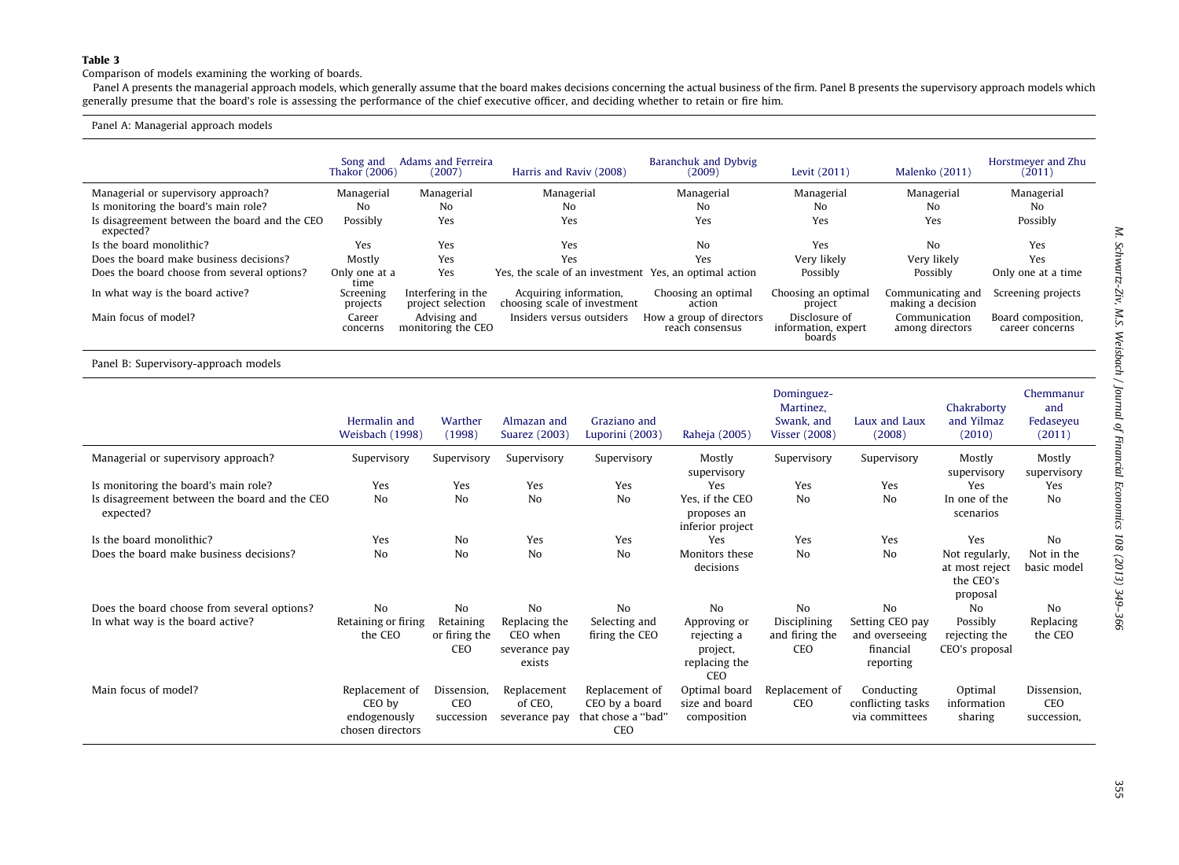<span id="page-6-0"></span>Comparison of models examining the working of boards.

Panel A presents the managerial approach models, which generally assume that the board makes decisions concerning the actual business of the firm. Panel B presents the supervisory approach models which generally presume that the board's role is assessing the performance of the chief executive officer, and deciding whether to retain or fire him.

#### Panel A: Managerial approach models

|                                                            | Song and<br>Thakor (2006) | Adams and Ferreira<br>(2007)            | Harris and Raviv (2008)                                | Baranchuk and Dybvig<br>(2009)              | Levit (2011)                                   | Malenko (2011)                         | Horstmeyer and Zhu<br>(2011)          |
|------------------------------------------------------------|---------------------------|-----------------------------------------|--------------------------------------------------------|---------------------------------------------|------------------------------------------------|----------------------------------------|---------------------------------------|
| Managerial or supervisory approach?                        | Managerial                | Managerial                              | Managerial                                             | Managerial                                  | Managerial                                     | Managerial                             | Managerial                            |
| Is monitoring the board's main role?                       | No                        | No                                      | No                                                     | No                                          | No                                             | No                                     | No                                    |
| Is disagreement between the board and the CEO<br>expected? | Possibly                  | Yes                                     | Yes                                                    | Yes                                         | Yes                                            | Yes                                    | Possibly                              |
| Is the board monolithic?                                   | Yes                       | Yes                                     | Yes                                                    | No                                          | Yes                                            | No                                     | Yes                                   |
| Does the board make business decisions?                    | Mostly                    | Yes                                     | Yes                                                    | Yes                                         | Very likely                                    | Very likely                            | Yes                                   |
| Does the board choose from several options?                | Only one at a<br>time     | Yes                                     | Yes, the scale of an investment Yes, an optimal action |                                             | Possibly                                       | Possibly                               | Only one at a time                    |
| In what way is the board active?                           | Screening<br>projects     | Interfering in the<br>project selection | Acquiring information,<br>choosing scale of investment | Choosing an optimal<br>action               | Choosing an optimal<br>project                 | Communicating and<br>making a decision | Screening projects                    |
| Main focus of model?                                       | Career<br>concerns        | Advising and<br>monitoring the CEO      | Insiders versus outsiders                              | How a group of directors<br>reach consensus | Disclosure of<br>information, expert<br>boards | Communication<br>among directors       | Board composition,<br>career concerns |

Panel B: Supervisory-approach models

|                                                            | Hermalin and<br>Weisbach (1998)                              | Warther<br>(1998)                 | Almazan and<br>Suarez (2003)                         | Graziano and<br>Luporini (2003)                               | Raheja (2005)                                                   | Dominguez-<br>Martinez,<br>Swank, and<br><b>Visser (2008)</b> | Laux and Laux<br>(2008)                                     | Chakraborty<br>and Yilmaz<br>(2010)                       | Chemmanur<br>and<br>Fedaseyeu<br>(2011) |
|------------------------------------------------------------|--------------------------------------------------------------|-----------------------------------|------------------------------------------------------|---------------------------------------------------------------|-----------------------------------------------------------------|---------------------------------------------------------------|-------------------------------------------------------------|-----------------------------------------------------------|-----------------------------------------|
| Managerial or supervisory approach?                        | Supervisory                                                  | Supervisory                       | Supervisory                                          | Supervisory                                                   | Mostly<br>supervisory                                           | Supervisory                                                   | Supervisory                                                 | Mostly<br>supervisory                                     | Mostly<br>supervisory                   |
| Is monitoring the board's main role?                       | Yes                                                          | Yes                               | Yes                                                  | Yes                                                           | Yes                                                             | Yes                                                           | Yes                                                         | <b>Yes</b>                                                | Yes                                     |
| Is disagreement between the board and the CEO<br>expected? | N <sub>0</sub>                                               | No                                | N <sub>o</sub>                                       | No                                                            | Yes, if the CEO<br>proposes an<br>inferior project              | No                                                            | No                                                          | In one of the<br>scenarios                                | N <sub>0</sub>                          |
| Is the board monolithic?                                   | Yes                                                          | N <sub>0</sub>                    | Yes                                                  | Yes                                                           | Yes                                                             | Yes                                                           | Yes                                                         | Yes                                                       | N <sub>0</sub>                          |
| Does the board make business decisions?                    | No                                                           | No                                | N <sub>o</sub>                                       | N <sub>o</sub>                                                | Monitors these<br>decisions                                     | N <sub>0</sub>                                                | No                                                          | Not regularly,<br>at most reject<br>the CEO's<br>proposal | Not in the<br>basic model               |
| Does the board choose from several options?                | N <sub>0</sub>                                               | No                                | N <sub>0</sub>                                       | No                                                            | N <sub>0</sub>                                                  | N <sub>0</sub>                                                | N <sub>0</sub>                                              | No                                                        | No                                      |
| In what way is the board active?                           | Retaining or firing<br>the CEO                               | Retaining<br>or firing the<br>CEO | Replacing the<br>CEO when<br>severance pay<br>exists | Selecting and<br>firing the CEO                               | Approving or<br>rejecting a<br>project,<br>replacing the<br>CEO | Disciplining<br>and firing the<br>CEO                         | Setting CEO pay<br>and overseeing<br>financial<br>reporting | Possibly<br>rejecting the<br>CEO's proposal               | Replacing<br>the CEO                    |
| Main focus of model?                                       | Replacement of<br>CEO by<br>endogenously<br>chosen directors | Dissension.<br>CEO<br>succession  | Replacement<br>of CEO.<br>severance pay              | Replacement of<br>CEO by a board<br>that chose a "bad"<br>CEO | Optimal board<br>size and board<br>composition                  | Replacement of<br>CEO                                         | Conducting<br>conflicting tasks<br>via committees           | Optimal<br>information<br>sharing                         | Dissension.<br>CEO<br>succession,       |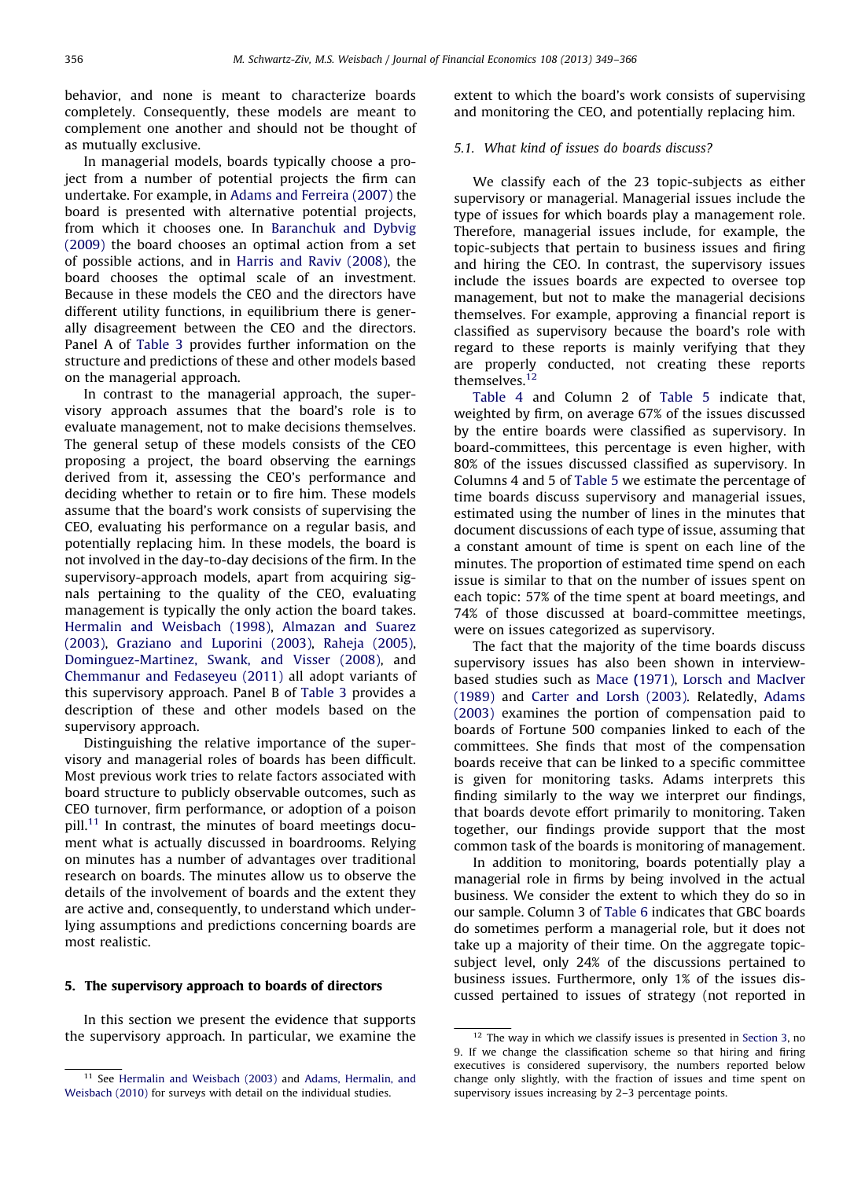behavior, and none is meant to characterize boards completely. Consequently, these models are meant to complement one another and should not be thought of as mutually exclusive.

In managerial models, boards typically choose a project from a number of potential projects the firm can undertake. For example, in [Adams and Ferreira \(2007\)](#page-17-0) the board is presented with alternative potential projects, from which it chooses one. In [Baranchuk and Dybvig](#page-17-0) [\(2009\)](#page-17-0) the board chooses an optimal action from a set of possible actions, and in [Harris and Raviv \(2008\),](#page-17-0) the board chooses the optimal scale of an investment. Because in these models the CEO and the directors have different utility functions, in equilibrium there is generally disagreement between the CEO and the directors. Panel A of [Table 3](#page-6-0) provides further information on the structure and predictions of these and other models based on the managerial approach.

In contrast to the managerial approach, the supervisory approach assumes that the board's role is to evaluate management, not to make decisions themselves. The general setup of these models consists of the CEO proposing a project, the board observing the earnings derived from it, assessing the CEO's performance and deciding whether to retain or to fire him. These models assume that the board's work consists of supervising the CEO, evaluating his performance on a regular basis, and potentially replacing him. In these models, the board is not involved in the day-to-day decisions of the firm. In the supervisory-approach models, apart from acquiring signals pertaining to the quality of the CEO, evaluating management is typically the only action the board takes. [Hermalin and Weisbach \(1998\)](#page-17-0), [Almazan and Suarez](#page-17-0) [\(2003\)](#page-17-0), [Graziano and Luporini \(2003\)](#page-17-0), [Raheja \(2005\)](#page-17-0), [Dominguez-Martinez, Swank, and Visser \(2008\),](#page-17-0) and [Chemmanur and Fedaseyeu \(2011\)](#page-17-0) all adopt variants of this supervisory approach. Panel B of [Table 3](#page-6-0) provides a description of these and other models based on the supervisory approach.

Distinguishing the relative importance of the supervisory and managerial roles of boards has been difficult. Most previous work tries to relate factors associated with board structure to publicly observable outcomes, such as CEO turnover, firm performance, or adoption of a poison pill.<sup>11</sup> In contrast, the minutes of board meetings document what is actually discussed in boardrooms. Relying on minutes has a number of advantages over traditional research on boards. The minutes allow us to observe the details of the involvement of boards and the extent they are active and, consequently, to understand which underlying assumptions and predictions concerning boards are most realistic.

# 5. The supervisory approach to boards of directors

In this section we present the evidence that supports the supervisory approach. In particular, we examine the extent to which the board's work consists of supervising and monitoring the CEO, and potentially replacing him.

## 5.1. What kind of issues do boards discuss?

We classify each of the 23 topic-subjects as either supervisory or managerial. Managerial issues include the type of issues for which boards play a management role. Therefore, managerial issues include, for example, the topic-subjects that pertain to business issues and firing and hiring the CEO. In contrast, the supervisory issues include the issues boards are expected to oversee top management, but not to make the managerial decisions themselves. For example, approving a financial report is classified as supervisory because the board's role with regard to these reports is mainly verifying that they are properly conducted, not creating these reports themselves.<sup>12</sup>

[Table 4](#page-9-0) and Column 2 of [Table 5](#page-9-0) indicate that, weighted by firm, on average 67% of the issues discussed by the entire boards were classified as supervisory. In board-committees, this percentage is even higher, with 80% of the issues discussed classified as supervisory. In Columns 4 and 5 of [Table 5](#page-9-0) we estimate the percentage of time boards discuss supervisory and managerial issues, estimated using the number of lines in the minutes that document discussions of each type of issue, assuming that a constant amount of time is spent on each line of the minutes. The proportion of estimated time spend on each issue is similar to that on the number of issues spent on each topic: 57% of the time spent at board meetings, and 74% of those discussed at board-committee meetings, were on issues categorized as supervisory.

The fact that the majority of the time boards discuss supervisory issues has also been shown in interviewbased studies such as Mace ([1971\),](#page-17-0) [Lorsch and MacIver](#page-17-0) [\(1989\)](#page-17-0) and [Carter and Lorsh \(2003\)](#page-17-0). Relatedly, [Adams](#page-17-0) [\(2003\)](#page-17-0) examines the portion of compensation paid to boards of Fortune 500 companies linked to each of the committees. She finds that most of the compensation boards receive that can be linked to a specific committee is given for monitoring tasks. Adams interprets this finding similarly to the way we interpret our findings, that boards devote effort primarily to monitoring. Taken together, our findings provide support that the most common task of the boards is monitoring of management.

In addition to monitoring, boards potentially play a managerial role in firms by being involved in the actual business. We consider the extent to which they do so in our sample. Column 3 of [Table 6](#page-10-0) indicates that GBC boards do sometimes perform a managerial role, but it does not take up a majority of their time. On the aggregate topicsubject level, only 24% of the discussions pertained to business issues. Furthermore, only 1% of the issues discussed pertained to issues of strategy (not reported in

<sup>&</sup>lt;sup>11</sup> See [Hermalin and Weisbach \(2003\)](#page-17-0) and [Adams, Hermalin, and](#page-17-0) [Weisbach \(2010\)](#page-17-0) for surveys with detail on the individual studies.

 $12$  The way in which we classify issues is presented in [Section 3,](#page-4-0) no 9. If we change the classification scheme so that hiring and firing executives is considered supervisory, the numbers reported below change only slightly, with the fraction of issues and time spent on supervisory issues increasing by 2–3 percentage points.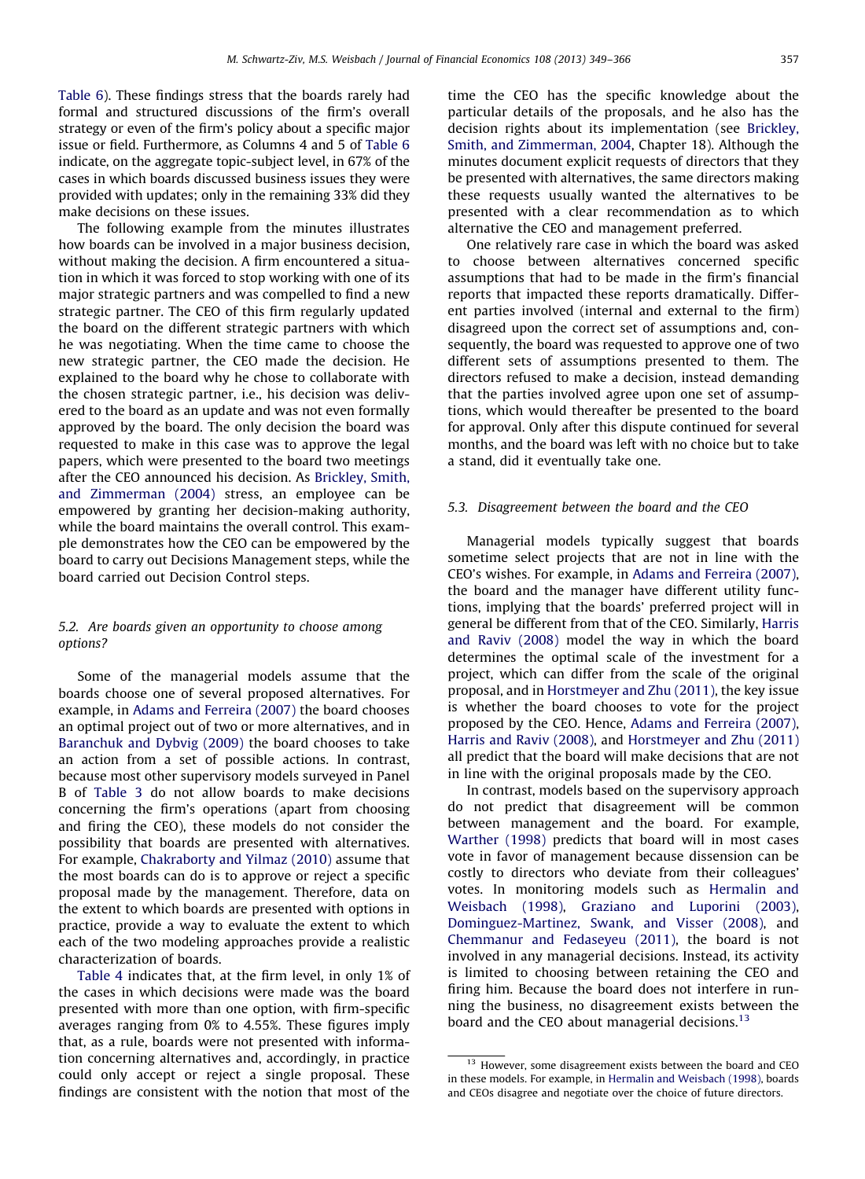[Table 6](#page-10-0)). These findings stress that the boards rarely had formal and structured discussions of the firm's overall strategy or even of the firm's policy about a specific major issue or field. Furthermore, as Columns 4 and 5 of [Table 6](#page-10-0) indicate, on the aggregate topic-subject level, in 67% of the cases in which boards discussed business issues they were provided with updates; only in the remaining 33% did they make decisions on these issues.

The following example from the minutes illustrates how boards can be involved in a major business decision, without making the decision. A firm encountered a situation in which it was forced to stop working with one of its major strategic partners and was compelled to find a new strategic partner. The CEO of this firm regularly updated the board on the different strategic partners with which he was negotiating. When the time came to choose the new strategic partner, the CEO made the decision. He explained to the board why he chose to collaborate with the chosen strategic partner, i.e., his decision was delivered to the board as an update and was not even formally approved by the board. The only decision the board was requested to make in this case was to approve the legal papers, which were presented to the board two meetings after the CEO announced his decision. As [Brickley, Smith,](#page-17-0) [and Zimmerman \(2004\)](#page-17-0) stress, an employee can be empowered by granting her decision-making authority, while the board maintains the overall control. This example demonstrates how the CEO can be empowered by the board to carry out Decisions Management steps, while the board carried out Decision Control steps.

# 5.2. Are boards given an opportunity to choose among options?

Some of the managerial models assume that the boards choose one of several proposed alternatives. For example, in [Adams and Ferreira \(2007\)](#page-17-0) the board chooses an optimal project out of two or more alternatives, and in [Baranchuk and Dybvig \(2009\)](#page-17-0) the board chooses to take an action from a set of possible actions. In contrast, because most other supervisory models surveyed in Panel B of [Table 3](#page-6-0) do not allow boards to make decisions concerning the firm's operations (apart from choosing and firing the CEO), these models do not consider the possibility that boards are presented with alternatives. For example, [Chakraborty and Yilmaz \(2010\)](#page-17-0) assume that the most boards can do is to approve or reject a specific proposal made by the management. Therefore, data on the extent to which boards are presented with options in practice, provide a way to evaluate the extent to which each of the two modeling approaches provide a realistic characterization of boards.

[Table 4](#page-9-0) indicates that, at the firm level, in only 1% of the cases in which decisions were made was the board presented with more than one option, with firm-specific averages ranging from 0% to 4.55%. These figures imply that, as a rule, boards were not presented with information concerning alternatives and, accordingly, in practice could only accept or reject a single proposal. These findings are consistent with the notion that most of the

time the CEO has the specific knowledge about the particular details of the proposals, and he also has the decision rights about its implementation (see [Brickley,](#page-17-0) [Smith, and Zimmerman, 2004](#page-17-0), Chapter 18). Although the minutes document explicit requests of directors that they be presented with alternatives, the same directors making these requests usually wanted the alternatives to be presented with a clear recommendation as to which alternative the CEO and management preferred.

One relatively rare case in which the board was asked to choose between alternatives concerned specific assumptions that had to be made in the firm's financial reports that impacted these reports dramatically. Different parties involved (internal and external to the firm) disagreed upon the correct set of assumptions and, consequently, the board was requested to approve one of two different sets of assumptions presented to them. The directors refused to make a decision, instead demanding that the parties involved agree upon one set of assumptions, which would thereafter be presented to the board for approval. Only after this dispute continued for several months, and the board was left with no choice but to take a stand, did it eventually take one.

# 5.3. Disagreement between the board and the CEO

Managerial models typically suggest that boards sometime select projects that are not in line with the CEO's wishes. For example, in [Adams and Ferreira \(2007\)](#page-17-0), the board and the manager have different utility functions, implying that the boards' preferred project will in general be different from that of the CEO. Similarly, [Harris](#page-17-0) [and Raviv \(2008\)](#page-17-0) model the way in which the board determines the optimal scale of the investment for a project, which can differ from the scale of the original proposal, and in [Horstmeyer and Zhu \(2011\)](#page-17-0), the key issue is whether the board chooses to vote for the project proposed by the CEO. Hence, [Adams and Ferreira \(2007\)](#page-17-0), [Harris and Raviv \(2008\),](#page-17-0) and [Horstmeyer and Zhu \(2011\)](#page-17-0) all predict that the board will make decisions that are not in line with the original proposals made by the CEO.

In contrast, models based on the supervisory approach do not predict that disagreement will be common between management and the board. For example, [Warther \(1998\)](#page-17-0) predicts that board will in most cases vote in favor of management because dissension can be costly to directors who deviate from their colleagues' votes. In monitoring models such as [Hermalin and](#page-17-0) [Weisbach \(1998\)](#page-17-0), [Graziano and Luporini \(2003\)](#page-17-0), [Dominguez-Martinez, Swank, and Visser \(2008\),](#page-17-0) and [Chemmanur and Fedaseyeu \(2011\)](#page-17-0), the board is not involved in any managerial decisions. Instead, its activity is limited to choosing between retaining the CEO and firing him. Because the board does not interfere in running the business, no disagreement exists between the board and the CEO about managerial decisions.<sup>13</sup>

<sup>&</sup>lt;sup>13</sup> However, some disagreement exists between the board and CEO in these models. For example, in [Hermalin and Weisbach \(1998\)](#page-17-0), boards and CEOs disagree and negotiate over the choice of future directors.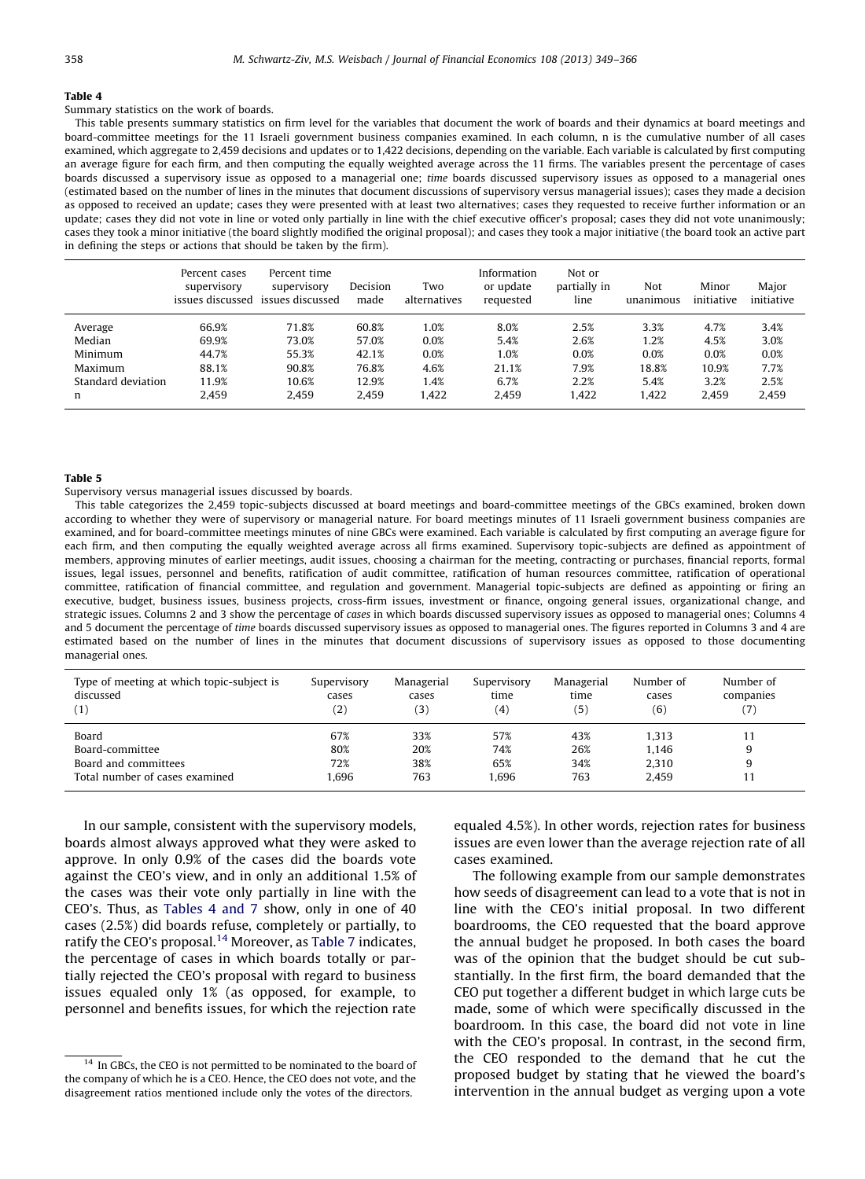## <span id="page-9-0"></span>Summary statistics on the work of boards.

This table presents summary statistics on firm level for the variables that document the work of boards and their dynamics at board meetings and board-committee meetings for the 11 Israeli government business companies examined. In each column, n is the cumulative number of all cases examined, which aggregate to 2,459 decisions and updates or to 1,422 decisions, depending on the variable. Each variable is calculated by first computing an average figure for each firm, and then computing the equally weighted average across the 11 firms. The variables present the percentage of cases boards discussed a supervisory issue as opposed to a managerial one; time boards discussed supervisory issues as opposed to a managerial ones (estimated based on the number of lines in the minutes that document discussions of supervisory versus managerial issues); cases they made a decision as opposed to received an update; cases they were presented with at least two alternatives; cases they requested to receive further information or an update; cases they did not vote in line or voted only partially in line with the chief executive officer's proposal; cases they did not vote unanimously; cases they took a minor initiative (the board slightly modified the original proposal); and cases they took a major initiative (the board took an active part in defining the steps or actions that should be taken by the firm).

|                    | Percent cases<br>supervisory | Percent time<br>supervisory<br>issues discussed issues discussed | Decision<br>made | Two<br>alternatives | Information<br>or update<br>requested | Not or<br>partially in<br>line | Not<br>unanimous | Minor<br>initiative | Major<br>initiative |
|--------------------|------------------------------|------------------------------------------------------------------|------------------|---------------------|---------------------------------------|--------------------------------|------------------|---------------------|---------------------|
| Average            | 66.9%                        | 71.8%                                                            | 60.8%            | 1.0%                | 8.0%                                  | 2.5%                           | 3.3%             | 4.7%                | 3.4%                |
| Median             | 69.9%                        | 73.0%                                                            | 57.0%            | 0.0%                | 5.4%                                  | 2.6%                           | 1.2%             | 4.5%                | 3.0%                |
| Minimum            | 44.7%                        | 55.3%                                                            | 42.1%            | 0.0%                | 1.0%                                  | 0.0%                           | 0.0%             | 0.0%                | 0.0%                |
| Maximum            | 88.1%                        | 90.8%                                                            | 76.8%            | 4.6%                | 21.1%                                 | 7.9%                           | 18.8%            | 10.9%               | 7.7%                |
| Standard deviation | 11.9%                        | 10.6%                                                            | 12.9%            | 1.4%                | 6.7%                                  | 2.2%                           | 5.4%             | 3.2%                | 2.5%                |
| n                  | 2,459                        | 2,459                                                            | 2,459            | 1,422               | 2,459                                 | 1,422                          | 1,422            | 2,459               | 2,459               |

#### Table 5

#### Supervisory versus managerial issues discussed by boards.

This table categorizes the 2,459 topic-subjects discussed at board meetings and board-committee meetings of the GBCs examined, broken down according to whether they were of supervisory or managerial nature. For board meetings minutes of 11 Israeli government business companies are examined, and for board-committee meetings minutes of nine GBCs were examined. Each variable is calculated by first computing an average figure for each firm, and then computing the equally weighted average across all firms examined. Supervisory topic-subjects are defined as appointment of members, approving minutes of earlier meetings, audit issues, choosing a chairman for the meeting, contracting or purchases, financial reports, formal issues, legal issues, personnel and benefits, ratification of audit committee, ratification of human resources committee, ratification of operational committee, ratification of financial committee, and regulation and government. Managerial topic-subjects are defined as appointing or firing an executive, budget, business issues, business projects, cross-firm issues, investment or finance, ongoing general issues, organizational change, and strategic issues. Columns 2 and 3 show the percentage of cases in which boards discussed supervisory issues as opposed to managerial ones; Columns 4 and 5 document the percentage of time boards discussed supervisory issues as opposed to managerial ones. The figures reported in Columns 3 and 4 are estimated based on the number of lines in the minutes that document discussions of supervisory issues as opposed to those documenting managerial ones.

| Type of meeting at which topic-subject is<br>discussed<br>(1) | Supervisory<br>cases<br>(2) | Managerial<br>cases<br>(3) | Supervisory<br>time<br>(4) | Managerial<br>time<br>(5) | Number of<br>cases<br>(6) | Number of<br>companies<br>(7) |
|---------------------------------------------------------------|-----------------------------|----------------------------|----------------------------|---------------------------|---------------------------|-------------------------------|
| Board                                                         | 67%                         | 33%                        | 57%                        | 43%                       | 1.313                     |                               |
| Board-committee                                               | 80%                         | 20%                        | 74%                        | 26%                       | 1.146                     | 9                             |
| Board and committees                                          | 72%                         | 38%                        | 65%                        | 34%                       | 2.310                     |                               |
| Total number of cases examined                                | 1.696                       | 763                        | 1.696                      | 763                       | 2.459                     | 11                            |

In our sample, consistent with the supervisory models, boards almost always approved what they were asked to approve. In only 0.9% of the cases did the boards vote against the CEO's view, and in only an additional 1.5% of the cases was their vote only partially in line with the CEO's. Thus, as Tables 4 and 7 show, only in one of 40 cases (2.5%) did boards refuse, completely or partially, to ratify the CEO's proposal.<sup>14</sup> Moreover, as [Table 7](#page-10-0) indicates, the percentage of cases in which boards totally or partially rejected the CEO's proposal with regard to business issues equaled only 1% (as opposed, for example, to personnel and benefits issues, for which the rejection rate

equaled 4.5%). In other words, rejection rates for business issues are even lower than the average rejection rate of all cases examined.

The following example from our sample demonstrates how seeds of disagreement can lead to a vote that is not in line with the CEO's initial proposal. In two different boardrooms, the CEO requested that the board approve the annual budget he proposed. In both cases the board was of the opinion that the budget should be cut substantially. In the first firm, the board demanded that the CEO put together a different budget in which large cuts be made, some of which were specifically discussed in the boardroom. In this case, the board did not vote in line with the CEO's proposal. In contrast, in the second firm, the CEO responded to the demand that he cut the proposed budget by stating that he viewed the board's intervention in the annual budget as verging upon a vote

<sup>&</sup>lt;sup>14</sup> In GBCs, the CEO is not permitted to be nominated to the board of the company of which he is a CEO. Hence, the CEO does not vote, and the disagreement ratios mentioned include only the votes of the directors.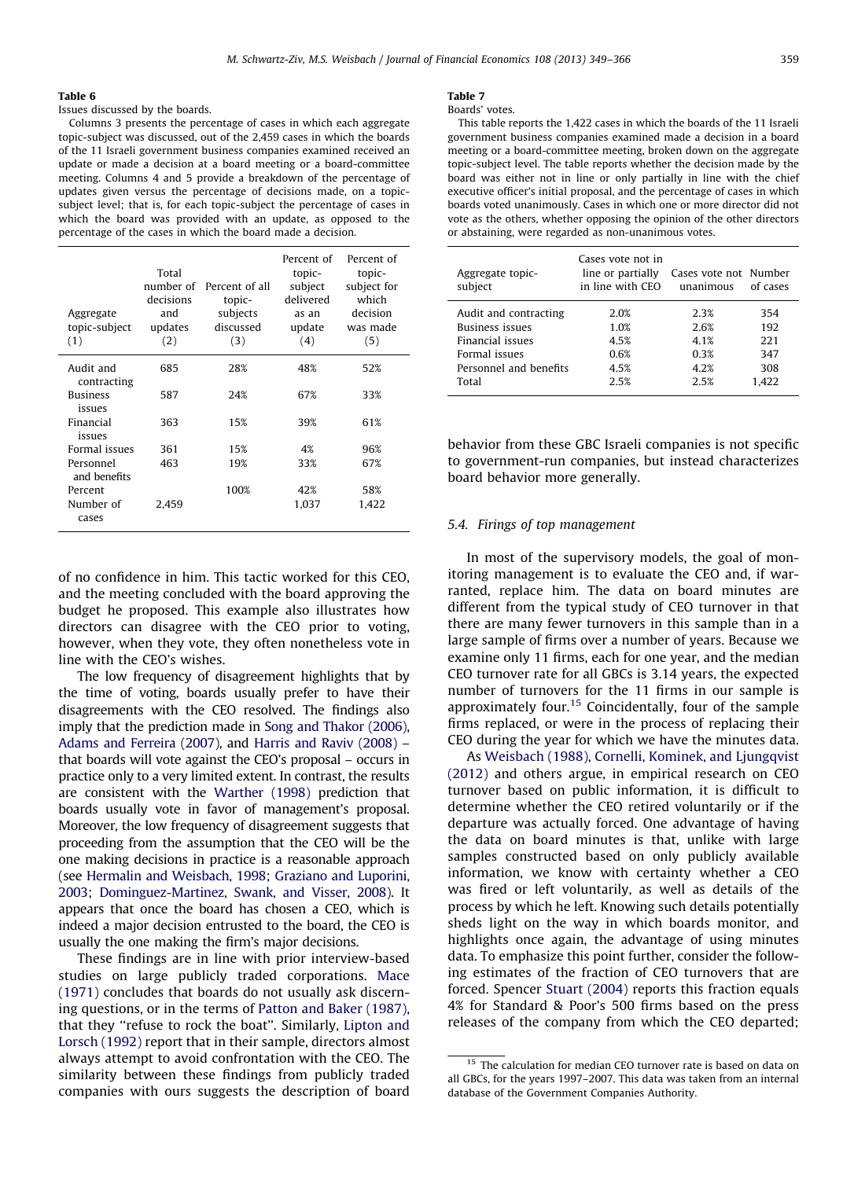<span id="page-10-0"></span>Issues discussed by the boards.

Columns 3 presents the percentage of cases in which each aggregate topic-subject was discussed, out of the 2,459 cases in which the boards of the 11 Israeli government business companies examined received an update or made a decision at a board meeting or a board-committee meeting. Columns 4 and 5 provide a breakdown of the percentage of updates given versus the percentage of decisions made, on a topicsubject level; that is, for each topic-subject the percentage of cases in which the board was provided with an update, as opposed to the percentage of the cases in which the board made a decision.

| Aggregate<br>topic-subject<br>(1) | Total<br>number of<br>decisions<br>and<br>updates<br>(2) | Percent of all<br>topic-<br>subjects<br>discussed<br>(3) | Percent of<br>topic-<br>subject<br>delivered<br>as an<br>update<br>(4) | Percent of<br>topic-<br>subject for<br>which<br>decision<br>was made<br>(5) |
|-----------------------------------|----------------------------------------------------------|----------------------------------------------------------|------------------------------------------------------------------------|-----------------------------------------------------------------------------|
| Audit and<br>contracting          | 685                                                      | 28%                                                      | 48%                                                                    | 52%                                                                         |
| <b>Business</b><br>issues         | 587                                                      | 24%                                                      | 67%                                                                    | 33%                                                                         |
| Financial<br>issues               | 363                                                      | 15%                                                      | 39%                                                                    | 61%                                                                         |
| Formal issues                     | 361                                                      | 15%                                                      | 4%                                                                     | 96%                                                                         |
| Personnel<br>and benefits         | 463                                                      | 19%                                                      | 33%                                                                    | 67%                                                                         |
| Percent                           |                                                          | 100%                                                     | 42%                                                                    | 58%                                                                         |
| Number of<br>cases                | 2.459                                                    |                                                          | 1,037                                                                  | 1.422                                                                       |

of no confidence in him. This tactic worked for this CEO, and the meeting concluded with the board approving the budget he proposed. This example also illustrates how directors can disagree with the CEO prior to voting, however, when they vote, they often nonetheless vote in line with the CEO's wishes.

The low frequency of disagreement highlights that by the time of voting, boards usually prefer to have their disagreements with the CEO resolved. The findings also imply that the prediction made in [Song and Thakor \(2006\)](#page-17-0), [Adams and Ferreira \(2007\)](#page-17-0), and [Harris and Raviv \(2008\)](#page-17-0) – that boards will vote against the CEO's proposal – occurs in practice only to a very limited extent. In contrast, the results are consistent with the [Warther \(1998\)](#page-17-0) prediction that boards usually vote in favor of management's proposal. Moreover, the low frequency of disagreement suggests that proceeding from the assumption that the CEO will be the one making decisions in practice is a reasonable approach (see [Hermalin and Weisbach, 1998;](#page-17-0) [Graziano and Luporini,](#page-17-0) [2003](#page-17-0); [Dominguez-Martinez, Swank, and Visser, 2008](#page-17-0)). It appears that once the board has chosen a CEO, which is indeed a major decision entrusted to the board, the CEO is usually the one making the firm's major decisions.

These findings are in line with prior interview-based studies on large publicly traded corporations. [Mace](#page-17-0) [\(1971\)](#page-17-0) concludes that boards do not usually ask discerning questions, or in the terms of [Patton and Baker \(1987\)](#page-17-0), that they ''refuse to rock the boat''. Similarly, [Lipton and](#page-17-0) [Lorsch \(1992\)](#page-17-0) report that in their sample, directors almost always attempt to avoid confrontation with the CEO. The similarity between these findings from publicly traded companies with ours suggests the description of board

#### Table 7

Boards' votes.

This table reports the 1,422 cases in which the boards of the 11 Israeli government business companies examined made a decision in a board meeting or a board-committee meeting, broken down on the aggregate topic-subject level. The table reports whether the decision made by the board was either not in line or only partially in line with the chief executive officer's initial proposal, and the percentage of cases in which boards voted unanimously. Cases in which one or more director did not vote as the others, whether opposing the opinion of the other directors or abstaining, were regarded as non-unanimous votes.

| Aggregate topic-<br>subject | Cases vote not in<br>line or partially<br>in line with CEO | Cases vote not Number<br>unanimous | of cases |
|-----------------------------|------------------------------------------------------------|------------------------------------|----------|
| Audit and contracting       | 2.0%                                                       | 2.3%                               | 354      |
| <b>Business issues</b>      | 1.0%                                                       | 2.6%                               | 192      |
| Financial issues            | 4.5%                                                       | 4.1%                               | 221      |
| Formal issues               | 0.6%                                                       | 0.3%                               | 347      |
| Personnel and benefits      | 4.5%                                                       | 4.2%                               | 308      |
| Total                       | 2.5%                                                       | 2.5%                               | 1.422    |

behavior from these GBC Israeli companies is not specific to government-run companies, but instead characterizes board behavior more generally.

## 5.4. Firings of top management

In most of the supervisory models, the goal of monitoring management is to evaluate the CEO and, if warranted, replace him. The data on board minutes are different from the typical study of CEO turnover in that there are many fewer turnovers in this sample than in a large sample of firms over a number of years. Because we examine only 11 firms, each for one year, and the median CEO turnover rate for all GBCs is 3.14 years, the expected number of turnovers for the 11 firms in our sample is approximately four.<sup>15</sup> Coincidentally, four of the sample firms replaced, or were in the process of replacing their CEO during the year for which we have the minutes data.

As [Weisbach \(1988\)](#page-17-0), [Cornelli, Kominek, and Ljungqvist](#page-17-0) [\(2012\)](#page-17-0) and others argue, in empirical research on CEO turnover based on public information, it is difficult to determine whether the CEO retired voluntarily or if the departure was actually forced. One advantage of having the data on board minutes is that, unlike with large samples constructed based on only publicly available information, we know with certainty whether a CEO was fired or left voluntarily, as well as details of the process by which he left. Knowing such details potentially sheds light on the way in which boards monitor, and highlights once again, the advantage of using minutes data. To emphasize this point further, consider the following estimates of the fraction of CEO turnovers that are forced. Spencer [Stuart \(2004\)](#page-17-0) reports this fraction equals 4% for Standard & Poor's 500 firms based on the press releases of the company from which the CEO departed;

<sup>&</sup>lt;sup>15</sup> The calculation for median CEO turnover rate is based on data on all GBCs, for the years 1997–2007. This data was taken from an internal database of the Government Companies Authority.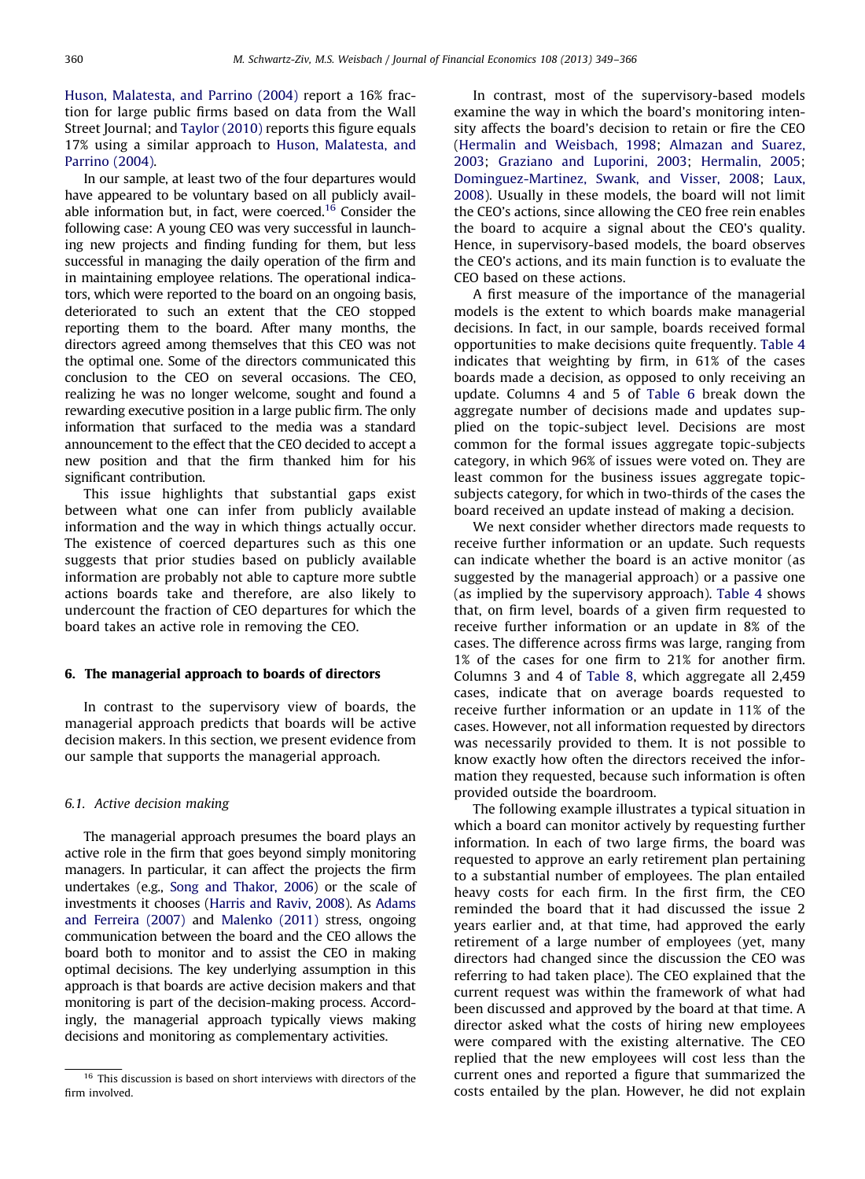[Huson, Malatesta, and Parrino \(2004\)](#page-17-0) report a 16% fraction for large public firms based on data from the Wall Street Journal; and [Taylor \(2010\)](#page-17-0) reports this figure equals 17% using a similar approach to [Huson, Malatesta, and](#page-17-0) [Parrino \(2004\).](#page-17-0)

In our sample, at least two of the four departures would have appeared to be voluntary based on all publicly available information but, in fact, were coerced.<sup>16</sup> Consider the following case: A young CEO was very successful in launching new projects and finding funding for them, but less successful in managing the daily operation of the firm and in maintaining employee relations. The operational indicators, which were reported to the board on an ongoing basis, deteriorated to such an extent that the CEO stopped reporting them to the board. After many months, the directors agreed among themselves that this CEO was not the optimal one. Some of the directors communicated this conclusion to the CEO on several occasions. The CEO, realizing he was no longer welcome, sought and found a rewarding executive position in a large public firm. The only information that surfaced to the media was a standard announcement to the effect that the CEO decided to accept a new position and that the firm thanked him for his significant contribution.

This issue highlights that substantial gaps exist between what one can infer from publicly available information and the way in which things actually occur. The existence of coerced departures such as this one suggests that prior studies based on publicly available information are probably not able to capture more subtle actions boards take and therefore, are also likely to undercount the fraction of CEO departures for which the board takes an active role in removing the CEO.

# 6. The managerial approach to boards of directors

In contrast to the supervisory view of boards, the managerial approach predicts that boards will be active decision makers. In this section, we present evidence from our sample that supports the managerial approach.

# 6.1. Active decision making

The managerial approach presumes the board plays an active role in the firm that goes beyond simply monitoring managers. In particular, it can affect the projects the firm undertakes (e.g., [Song and Thakor, 2006](#page-17-0)) or the scale of investments it chooses [\(Harris and Raviv, 2008](#page-17-0)). As [Adams](#page-17-0) [and Ferreira \(2007\)](#page-17-0) and [Malenko \(2011\)](#page-17-0) stress, ongoing communication between the board and the CEO allows the board both to monitor and to assist the CEO in making optimal decisions. The key underlying assumption in this approach is that boards are active decision makers and that monitoring is part of the decision-making process. Accordingly, the managerial approach typically views making decisions and monitoring as complementary activities.

In contrast, most of the supervisory-based models examine the way in which the board's monitoring intensity affects the board's decision to retain or fire the CEO [\(Hermalin and Weisbach, 1998](#page-17-0); [Almazan and Suarez,](#page-17-0) [2003](#page-17-0); [Graziano and Luporini, 2003;](#page-17-0) [Hermalin, 2005](#page-17-0); [Dominguez-Martinez, Swank, and Visser, 2008](#page-17-0); [Laux,](#page-17-0) [2008](#page-17-0)). Usually in these models, the board will not limit the CEO's actions, since allowing the CEO free rein enables the board to acquire a signal about the CEO's quality. Hence, in supervisory-based models, the board observes the CEO's actions, and its main function is to evaluate the CEO based on these actions.

A first measure of the importance of the managerial models is the extent to which boards make managerial decisions. In fact, in our sample, boards received formal opportunities to make decisions quite frequently. [Table 4](#page-9-0) indicates that weighting by firm, in 61% of the cases boards made a decision, as opposed to only receiving an update. Columns 4 and 5 of [Table 6](#page-10-0) break down the aggregate number of decisions made and updates supplied on the topic-subject level. Decisions are most common for the formal issues aggregate topic-subjects category, in which 96% of issues were voted on. They are least common for the business issues aggregate topicsubjects category, for which in two-thirds of the cases the board received an update instead of making a decision.

We next consider whether directors made requests to receive further information or an update. Such requests can indicate whether the board is an active monitor (as suggested by the managerial approach) or a passive one (as implied by the supervisory approach). [Table 4](#page-9-0) shows that, on firm level, boards of a given firm requested to receive further information or an update in 8% of the cases. The difference across firms was large, ranging from 1% of the cases for one firm to 21% for another firm. Columns 3 and 4 of [Table 8,](#page-12-0) which aggregate all 2,459 cases, indicate that on average boards requested to receive further information or an update in 11% of the cases. However, not all information requested by directors was necessarily provided to them. It is not possible to know exactly how often the directors received the information they requested, because such information is often provided outside the boardroom.

The following example illustrates a typical situation in which a board can monitor actively by requesting further information. In each of two large firms, the board was requested to approve an early retirement plan pertaining to a substantial number of employees. The plan entailed heavy costs for each firm. In the first firm, the CEO reminded the board that it had discussed the issue 2 years earlier and, at that time, had approved the early retirement of a large number of employees (yet, many directors had changed since the discussion the CEO was referring to had taken place). The CEO explained that the current request was within the framework of what had been discussed and approved by the board at that time. A director asked what the costs of hiring new employees were compared with the existing alternative. The CEO replied that the new employees will cost less than the current ones and reported a figure that summarized the costs entailed by the plan. However, he did not explain

<sup>&</sup>lt;sup>16</sup> This discussion is based on short interviews with directors of the firm involved.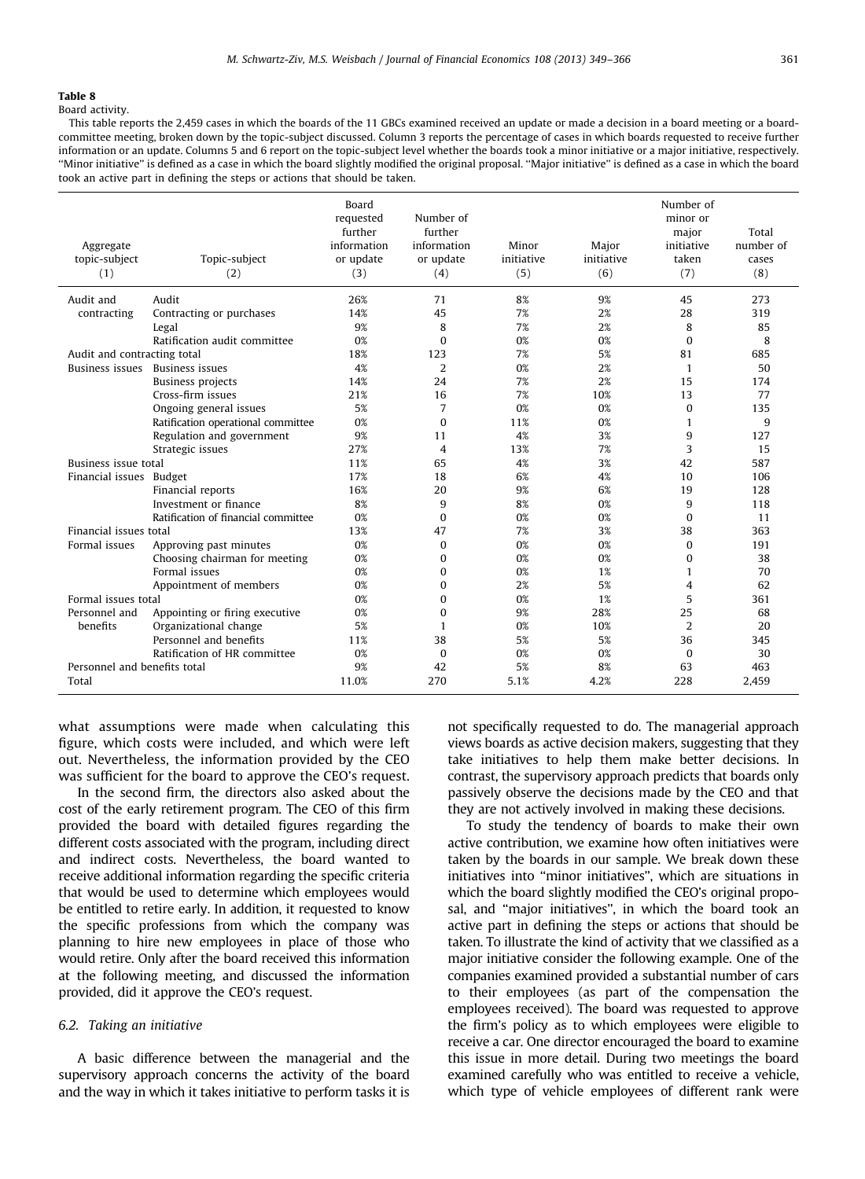<span id="page-12-0"></span>Board activity.

This table reports the 2,459 cases in which the boards of the 11 GBCs examined received an update or made a decision in a board meeting or a boardcommittee meeting, broken down by the topic-subject discussed. Column 3 reports the percentage of cases in which boards requested to receive further information or an update. Columns 5 and 6 report on the topic-subject level whether the boards took a minor initiative or a major initiative, respectively. ''Minor initiative'' is defined as a case in which the board slightly modified the original proposal. ''Major initiative'' is defined as a case in which the board took an active part in defining the steps or actions that should be taken.

| Aggregate<br>topic-subject<br>(1) | Topic-subject<br>(2)                | <b>Board</b><br>requested<br>further<br>information<br>or update<br>(3) | Number of<br>further<br>information<br>or update<br>(4) | Minor<br>initiative<br>(5) | Major<br>initiative<br>(6) | Number of<br>minor or<br>major<br>initiative<br>taken<br>(7) | Total<br>number of<br>cases<br>(8) |
|-----------------------------------|-------------------------------------|-------------------------------------------------------------------------|---------------------------------------------------------|----------------------------|----------------------------|--------------------------------------------------------------|------------------------------------|
| Audit and                         | Audit                               | 26%                                                                     | 71                                                      | 8%                         | 9%                         | 45                                                           | 273                                |
| contracting                       | Contracting or purchases            | 14%                                                                     | 45                                                      | 7%                         | 2%                         | 28                                                           | 319                                |
|                                   | Legal                               | 9%                                                                      | 8                                                       | 7%                         | 2%                         | 8                                                            | 85                                 |
|                                   | Ratification audit committee        | 0%                                                                      | $\Omega$                                                | 0%                         | 0 <sup>2</sup>             | $\Omega$                                                     | 8                                  |
| Audit and contracting total       |                                     | 18%                                                                     | 123                                                     | 7%                         | 5%                         | 81                                                           | 685                                |
|                                   | Business issues Business issues     | 4%                                                                      | 2                                                       | 0%                         | 2%                         | $\mathbf{1}$                                                 | 50                                 |
|                                   | <b>Business projects</b>            | 14%                                                                     | 24                                                      | 7%                         | 2%                         | 15                                                           | 174                                |
|                                   | Cross-firm issues                   | 21%                                                                     | 16                                                      | 7%                         | 10%                        | 13                                                           | 77                                 |
|                                   | Ongoing general issues              | 5%                                                                      | 7                                                       | 0%                         | 0 <sup>2</sup>             | $\Omega$                                                     | 135                                |
|                                   | Ratification operational committee  | 0%                                                                      | $\Omega$                                                | 11%                        | 0 <sup>2</sup>             | 1                                                            | 9                                  |
|                                   | Regulation and government           | 9%                                                                      | 11                                                      | 4%                         | 3%                         | q                                                            | 127                                |
|                                   | Strategic issues                    | 27%                                                                     | 4                                                       | 13%                        | 7%                         | 3                                                            | 15                                 |
| <b>Business issue total</b>       |                                     | 11%                                                                     | 65                                                      | 4%                         | 3%                         | 42                                                           | 587                                |
| Financial issues Budget           |                                     | 17%                                                                     | 18                                                      | 6%                         | 4%                         | 10                                                           | 106                                |
|                                   | Financial reports                   | 16%                                                                     | 20                                                      | 9%                         | 6%                         | 19                                                           | 128                                |
|                                   | Investment or finance               | 8%                                                                      | 9                                                       | 8%                         | 0 <sup>2</sup>             | 9                                                            | 118                                |
|                                   | Ratification of financial committee | 0%                                                                      | $\Omega$                                                | 0%                         | 0%                         | $\theta$                                                     | 11                                 |
| Financial issues total            |                                     | 13%                                                                     | 47                                                      | 7%                         | 3%                         | 38                                                           | 363                                |
| Formal issues                     | Approving past minutes              | 0%                                                                      | $\Omega$                                                | 0%                         | 0 <sup>2</sup>             | $\Omega$                                                     | 191                                |
|                                   | Choosing chairman for meeting       | 0%                                                                      | $\Omega$                                                | 0%                         | 0 <sup>2</sup>             | $\Omega$                                                     | 38                                 |
|                                   | Formal issues                       | 0%                                                                      | $\Omega$                                                | 0%                         | 1%                         | 1                                                            | 70                                 |
|                                   | Appointment of members              | 0%                                                                      | $\Omega$                                                | 2%                         | 5%                         | 4                                                            | 62                                 |
| Formal issues total               |                                     | 0%                                                                      | $\Omega$                                                | 0%                         | 1%                         | 5                                                            | 361                                |
| Personnel and                     | Appointing or firing executive      | 0%                                                                      | $\Omega$                                                | 9%                         | 28%                        | 25                                                           | 68                                 |
| benefits                          | Organizational change               | 5%                                                                      | 1                                                       | 0 <sup>2</sup>             | 10%                        | $\overline{2}$                                               | 20                                 |
|                                   | Personnel and benefits              | 11%                                                                     | 38                                                      | 5%                         | 5%                         | 36                                                           | 345                                |
|                                   | Ratification of HR committee        | 0%                                                                      | $\Omega$                                                | 0 <sup>2</sup>             | 0 <sup>2</sup>             | $\Omega$                                                     | 30                                 |
| Personnel and benefits total      |                                     | 9%                                                                      | 42                                                      | 5%                         | 8%                         | 63                                                           | 463                                |
| Total                             |                                     | 11.0%                                                                   | 270                                                     | 5.1%                       | 4.2%                       | 228                                                          | 2.459                              |

what assumptions were made when calculating this figure, which costs were included, and which were left out. Nevertheless, the information provided by the CEO was sufficient for the board to approve the CEO's request.

In the second firm, the directors also asked about the cost of the early retirement program. The CEO of this firm provided the board with detailed figures regarding the different costs associated with the program, including direct and indirect costs. Nevertheless, the board wanted to receive additional information regarding the specific criteria that would be used to determine which employees would be entitled to retire early. In addition, it requested to know the specific professions from which the company was planning to hire new employees in place of those who would retire. Only after the board received this information at the following meeting, and discussed the information provided, did it approve the CEO's request.

# 6.2. Taking an initiative

A basic difference between the managerial and the supervisory approach concerns the activity of the board and the way in which it takes initiative to perform tasks it is

not specifically requested to do. The managerial approach views boards as active decision makers, suggesting that they take initiatives to help them make better decisions. In contrast, the supervisory approach predicts that boards only passively observe the decisions made by the CEO and that they are not actively involved in making these decisions.

To study the tendency of boards to make their own active contribution, we examine how often initiatives were taken by the boards in our sample. We break down these initiatives into ''minor initiatives'', which are situations in which the board slightly modified the CEO's original proposal, and ''major initiatives'', in which the board took an active part in defining the steps or actions that should be taken. To illustrate the kind of activity that we classified as a major initiative consider the following example. One of the companies examined provided a substantial number of cars to their employees (as part of the compensation the employees received). The board was requested to approve the firm's policy as to which employees were eligible to receive a car. One director encouraged the board to examine this issue in more detail. During two meetings the board examined carefully who was entitled to receive a vehicle, which type of vehicle employees of different rank were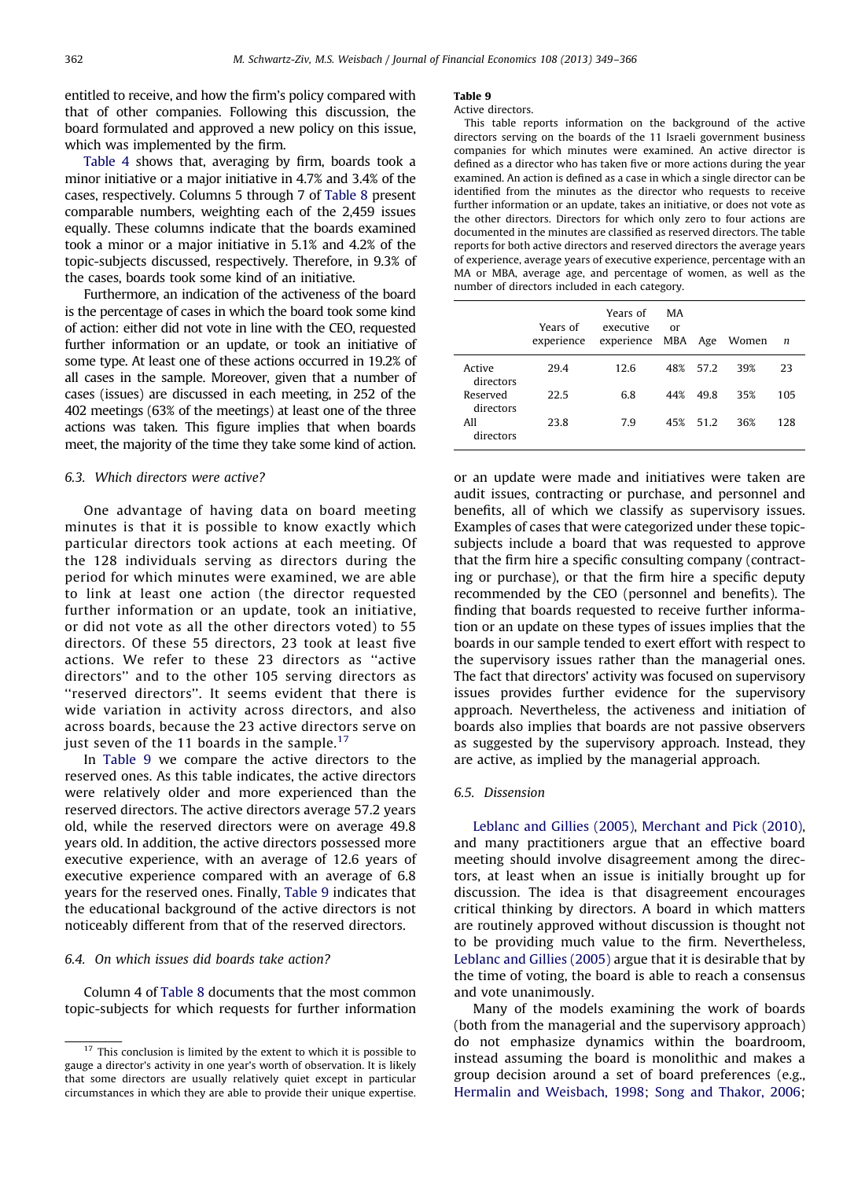entitled to receive, and how the firm's policy compared with that of other companies. Following this discussion, the board formulated and approved a new policy on this issue, which was implemented by the firm.

[Table 4](#page-9-0) shows that, averaging by firm, boards took a minor initiative or a major initiative in 4.7% and 3.4% of the cases, respectively. Columns 5 through 7 of [Table 8](#page-12-0) present comparable numbers, weighting each of the 2,459 issues equally. These columns indicate that the boards examined took a minor or a major initiative in 5.1% and 4.2% of the topic-subjects discussed, respectively. Therefore, in 9.3% of the cases, boards took some kind of an initiative.

Furthermore, an indication of the activeness of the board is the percentage of cases in which the board took some kind of action: either did not vote in line with the CEO, requested further information or an update, or took an initiative of some type. At least one of these actions occurred in 19.2% of all cases in the sample. Moreover, given that a number of cases (issues) are discussed in each meeting, in 252 of the 402 meetings (63% of the meetings) at least one of the three actions was taken. This figure implies that when boards meet, the majority of the time they take some kind of action.

# 6.3. Which directors were active?

One advantage of having data on board meeting minutes is that it is possible to know exactly which particular directors took actions at each meeting. Of the 128 individuals serving as directors during the period for which minutes were examined, we are able to link at least one action (the director requested further information or an update, took an initiative, or did not vote as all the other directors voted) to 55 directors. Of these 55 directors, 23 took at least five actions. We refer to these 23 directors as ''active directors'' and to the other 105 serving directors as ''reserved directors''. It seems evident that there is wide variation in activity across directors, and also across boards, because the 23 active directors serve on just seven of the 11 boards in the sample.<sup>17</sup>

In Table 9 we compare the active directors to the reserved ones. As this table indicates, the active directors were relatively older and more experienced than the reserved directors. The active directors average 57.2 years old, while the reserved directors were on average 49.8 years old. In addition, the active directors possessed more executive experience, with an average of 12.6 years of executive experience compared with an average of 6.8 years for the reserved ones. Finally, Table 9 indicates that the educational background of the active directors is not noticeably different from that of the reserved directors.

# 6.4. On which issues did boards take action?

Column 4 of [Table 8](#page-12-0) documents that the most common topic-subjects for which requests for further information

#### Table 9

#### Active directors.

This table reports information on the background of the active directors serving on the boards of the 11 Israeli government business companies for which minutes were examined. An active director is defined as a director who has taken five or more actions during the year examined. An action is defined as a case in which a single director can be identified from the minutes as the director who requests to receive further information or an update, takes an initiative, or does not vote as the other directors. Directors for which only zero to four actions are documented in the minutes are classified as reserved directors. The table reports for both active directors and reserved directors the average years of experience, average years of executive experience, percentage with an MA or MBA, average age, and percentage of women, as well as the number of directors included in each category.

|                       | Years of<br>experience | Years of<br>executive<br>experience MBA Age | MA<br>$_{\text{or}}$ |          | Women | n   |
|-----------------------|------------------------|---------------------------------------------|----------------------|----------|-------|-----|
| Active<br>directors   | 29.4                   | 12.6                                        |                      | 48% 57.2 | 39%   | 23  |
| Reserved<br>directors | 22.5                   | 6.8                                         | 44%                  | 49.8     | 35%   | 105 |
| All<br>directors      | 23.8                   | 7.9                                         |                      | 45% 51.2 | 36%   | 128 |

or an update were made and initiatives were taken are audit issues, contracting or purchase, and personnel and benefits, all of which we classify as supervisory issues. Examples of cases that were categorized under these topicsubjects include a board that was requested to approve that the firm hire a specific consulting company (contracting or purchase), or that the firm hire a specific deputy recommended by the CEO (personnel and benefits). The finding that boards requested to receive further information or an update on these types of issues implies that the boards in our sample tended to exert effort with respect to the supervisory issues rather than the managerial ones. The fact that directors' activity was focused on supervisory issues provides further evidence for the supervisory approach. Nevertheless, the activeness and initiation of boards also implies that boards are not passive observers as suggested by the supervisory approach. Instead, they are active, as implied by the managerial approach.

# 6.5. Dissension

[Leblanc and Gillies \(2005\)](#page-17-0), [Merchant and Pick \(2010\)](#page-17-0), and many practitioners argue that an effective board meeting should involve disagreement among the directors, at least when an issue is initially brought up for discussion. The idea is that disagreement encourages critical thinking by directors. A board in which matters are routinely approved without discussion is thought not to be providing much value to the firm. Nevertheless, [Leblanc and Gillies \(2005\)](#page-17-0) argue that it is desirable that by the time of voting, the board is able to reach a consensus and vote unanimously.

Many of the models examining the work of boards (both from the managerial and the supervisory approach) do not emphasize dynamics within the boardroom, instead assuming the board is monolithic and makes a group decision around a set of board preferences (e.g., [Hermalin and Weisbach, 1998;](#page-17-0) [Song and Thakor, 2006](#page-17-0);

 $17$  This conclusion is limited by the extent to which it is possible to gauge a director's activity in one year's worth of observation. It is likely that some directors are usually relatively quiet except in particular circumstances in which they are able to provide their unique expertise.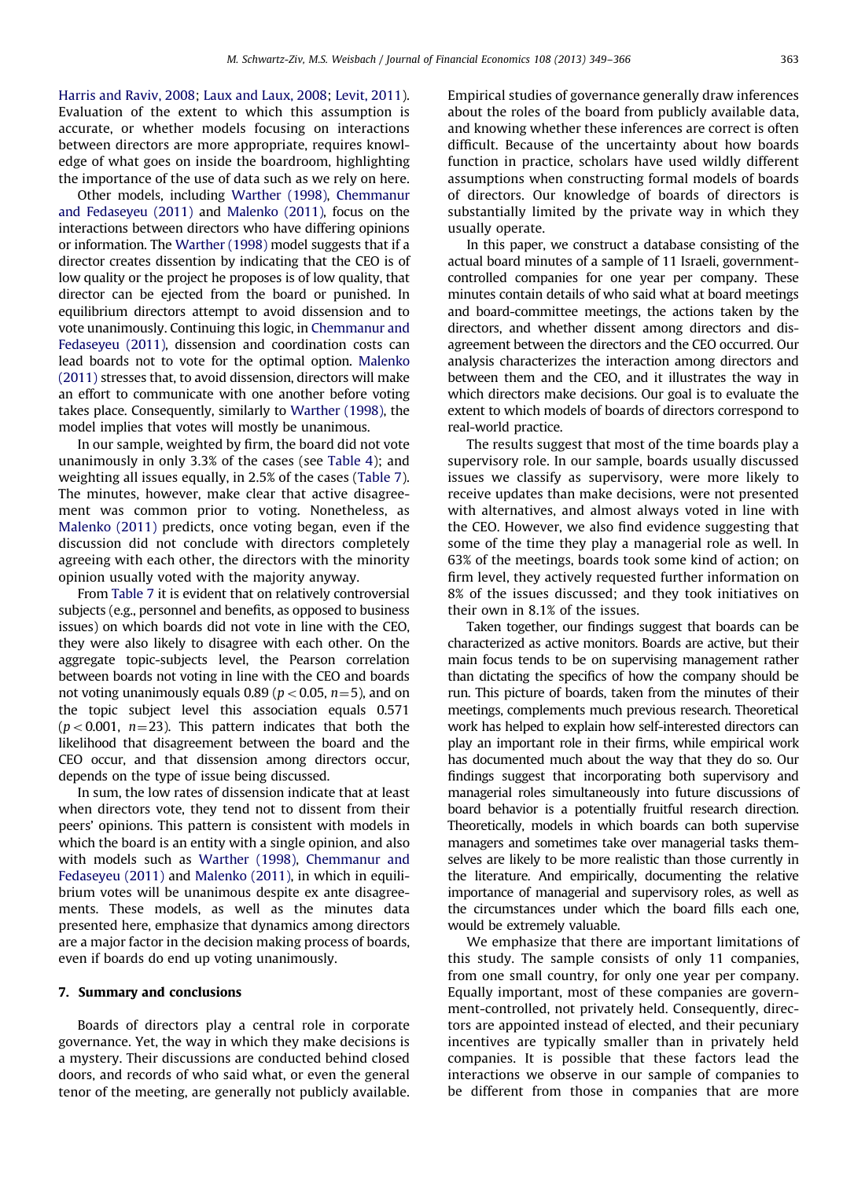[Harris and Raviv, 2008](#page-17-0); [Laux and Laux, 2008](#page-17-0); [Levit, 2011](#page-17-0)). Evaluation of the extent to which this assumption is accurate, or whether models focusing on interactions between directors are more appropriate, requires knowledge of what goes on inside the boardroom, highlighting the importance of the use of data such as we rely on here.

Other models, including [Warther \(1998\),](#page-17-0) [Chemmanur](#page-17-0) [and Fedaseyeu \(2011\)](#page-17-0) and [Malenko \(2011\),](#page-17-0) focus on the interactions between directors who have differing opinions or information. The [Warther \(1998\)](#page-17-0) model suggests that if a director creates dissention by indicating that the CEO is of low quality or the project he proposes is of low quality, that director can be ejected from the board or punished. In equilibrium directors attempt to avoid dissension and to vote unanimously. Continuing this logic, in [Chemmanur and](#page-17-0) [Fedaseyeu \(2011\)](#page-17-0), dissension and coordination costs can lead boards not to vote for the optimal option. [Malenko](#page-17-0) [\(2011\)](#page-17-0) stresses that, to avoid dissension, directors will make an effort to communicate with one another before voting takes place. Consequently, similarly to [Warther \(1998\)](#page-17-0), the model implies that votes will mostly be unanimous.

In our sample, weighted by firm, the board did not vote unanimously in only 3.3% of the cases (see [Table 4\)](#page-9-0); and weighting all issues equally, in 2.5% of the cases [\(Table 7](#page-10-0)). The minutes, however, make clear that active disagreement was common prior to voting. Nonetheless, as [Malenko \(2011\)](#page-17-0) predicts, once voting began, even if the discussion did not conclude with directors completely agreeing with each other, the directors with the minority opinion usually voted with the majority anyway.

From [Table 7](#page-10-0) it is evident that on relatively controversial subjects (e.g., personnel and benefits, as opposed to business issues) on which boards did not vote in line with the CEO, they were also likely to disagree with each other. On the aggregate topic-subjects level, the Pearson correlation between boards not voting in line with the CEO and boards not voting unanimously equals 0.89 ( $p < 0.05$ ,  $n = 5$ ), and on the topic subject level this association equals 0.571  $(p<0.001, n=23)$ . This pattern indicates that both the likelihood that disagreement between the board and the CEO occur, and that dissension among directors occur, depends on the type of issue being discussed.

In sum, the low rates of dissension indicate that at least when directors vote, they tend not to dissent from their peers' opinions. This pattern is consistent with models in which the board is an entity with a single opinion, and also with models such as [Warther \(1998\)](#page-17-0), [Chemmanur and](#page-17-0) [Fedaseyeu \(2011\)](#page-17-0) and [Malenko \(2011\),](#page-17-0) in which in equilibrium votes will be unanimous despite ex ante disagreements. These models, as well as the minutes data presented here, emphasize that dynamics among directors are a major factor in the decision making process of boards, even if boards do end up voting unanimously.

# 7. Summary and conclusions

Boards of directors play a central role in corporate governance. Yet, the way in which they make decisions is a mystery. Their discussions are conducted behind closed doors, and records of who said what, or even the general tenor of the meeting, are generally not publicly available.

Empirical studies of governance generally draw inferences about the roles of the board from publicly available data, and knowing whether these inferences are correct is often difficult. Because of the uncertainty about how boards function in practice, scholars have used wildly different assumptions when constructing formal models of boards of directors. Our knowledge of boards of directors is substantially limited by the private way in which they usually operate.

In this paper, we construct a database consisting of the actual board minutes of a sample of 11 Israeli, governmentcontrolled companies for one year per company. These minutes contain details of who said what at board meetings and board-committee meetings, the actions taken by the directors, and whether dissent among directors and disagreement between the directors and the CEO occurred. Our analysis characterizes the interaction among directors and between them and the CEO, and it illustrates the way in which directors make decisions. Our goal is to evaluate the extent to which models of boards of directors correspond to real-world practice.

The results suggest that most of the time boards play a supervisory role. In our sample, boards usually discussed issues we classify as supervisory, were more likely to receive updates than make decisions, were not presented with alternatives, and almost always voted in line with the CEO. However, we also find evidence suggesting that some of the time they play a managerial role as well. In 63% of the meetings, boards took some kind of action; on firm level, they actively requested further information on 8% of the issues discussed; and they took initiatives on their own in 8.1% of the issues.

Taken together, our findings suggest that boards can be characterized as active monitors. Boards are active, but their main focus tends to be on supervising management rather than dictating the specifics of how the company should be run. This picture of boards, taken from the minutes of their meetings, complements much previous research. Theoretical work has helped to explain how self-interested directors can play an important role in their firms, while empirical work has documented much about the way that they do so. Our findings suggest that incorporating both supervisory and managerial roles simultaneously into future discussions of board behavior is a potentially fruitful research direction. Theoretically, models in which boards can both supervise managers and sometimes take over managerial tasks themselves are likely to be more realistic than those currently in the literature. And empirically, documenting the relative importance of managerial and supervisory roles, as well as the circumstances under which the board fills each one, would be extremely valuable.

We emphasize that there are important limitations of this study. The sample consists of only 11 companies, from one small country, for only one year per company. Equally important, most of these companies are government-controlled, not privately held. Consequently, directors are appointed instead of elected, and their pecuniary incentives are typically smaller than in privately held companies. It is possible that these factors lead the interactions we observe in our sample of companies to be different from those in companies that are more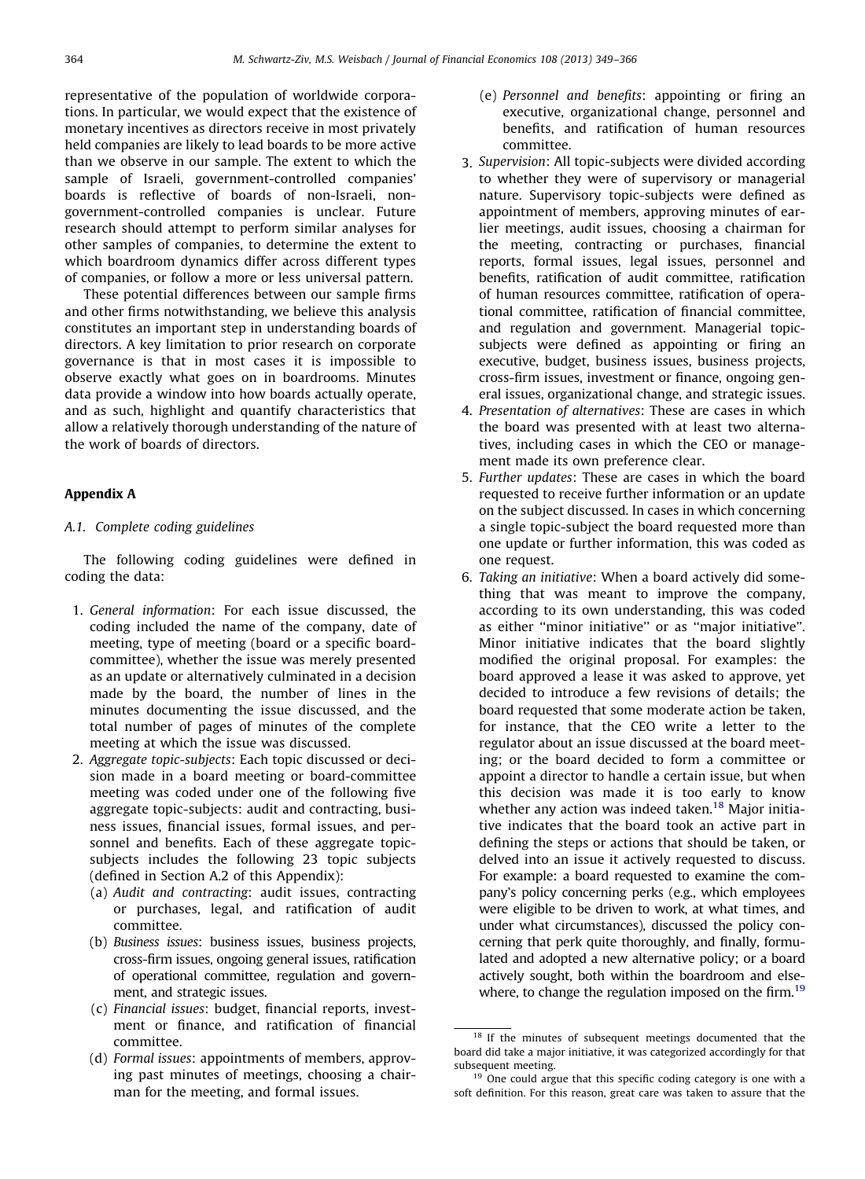representative of the population of worldwide corporations. In particular, we would expect that the existence of monetary incentives as directors receive in most privately held companies are likely to lead boards to be more active than we observe in our sample. The extent to which the sample of Israeli, government-controlled companies' boards is reflective of boards of non-Israeli, nongovernment-controlled companies is unclear. Future research should attempt to perform similar analyses for other samples of companies, to determine the extent to which boardroom dynamics differ across different types of companies, or follow a more or less universal pattern.

These potential differences between our sample firms and other firms notwithstanding, we believe this analysis constitutes an important step in understanding boards of directors. A key limitation to prior research on corporate governance is that in most cases it is impossible to observe exactly what goes on in boardrooms. Minutes data provide a window into how boards actually operate, and as such, highlight and quantify characteristics that allow a relatively thorough understanding of the nature of the work of boards of directors.

## Appendix A

# A.1. Complete coding guidelines

The following coding guidelines were defined in coding the data:

- 1. General information: For each issue discussed, the coding included the name of the company, date of meeting, type of meeting (board or a specific boardcommittee), whether the issue was merely presented as an update or alternatively culminated in a decision made by the board, the number of lines in the minutes documenting the issue discussed, and the total number of pages of minutes of the complete meeting at which the issue was discussed.
- 2. Aggregate topic-subjects: Each topic discussed or decision made in a board meeting or board-committee meeting was coded under one of the following five aggregate topic-subjects: audit and contracting, business issues, financial issues, formal issues, and personnel and benefits. Each of these aggregate topicsubjects includes the following 23 topic subjects (defined in Section A.2 of this Appendix):
	- (a) Audit and contracting: audit issues, contracting or purchases, legal, and ratification of audit committee.
	- (b) Business issues: business issues, business projects, cross-firm issues, ongoing general issues, ratification of operational committee, regulation and government, and strategic issues.
	- (c) Financial issues: budget, financial reports, investment or finance, and ratification of financial committee.
	- (d) Formal issues: appointments of members, approving past minutes of meetings, choosing a chairman for the meeting, and formal issues.
- (e) Personnel and benefits: appointing or firing an executive, organizational change, personnel and benefits, and ratification of human resources committee.
- 3. Supervision: All topic-subjects were divided according to whether they were of supervisory or managerial nature. Supervisory topic-subjects were defined as appointment of members, approving minutes of earlier meetings, audit issues, choosing a chairman for the meeting, contracting or purchases, financial reports, formal issues, legal issues, personnel and benefits, ratification of audit committee, ratification of human resources committee, ratification of operational committee, ratification of financial committee, and regulation and government. Managerial topicsubjects were defined as appointing or firing an executive, budget, business issues, business projects, cross-firm issues, investment or finance, ongoing general issues, organizational change, and strategic issues.
- 4. Presentation of alternatives: These are cases in which the board was presented with at least two alternatives, including cases in which the CEO or management made its own preference clear.
- 5. Further updates: These are cases in which the board requested to receive further information or an update on the subject discussed. In cases in which concerning a single topic-subject the board requested more than one update or further information, this was coded as one request.
- 6. Taking an initiative: When a board actively did something that was meant to improve the company, according to its own understanding, this was coded as either ''minor initiative'' or as ''major initiative''. Minor initiative indicates that the board slightly modified the original proposal. For examples: the board approved a lease it was asked to approve, yet decided to introduce a few revisions of details; the board requested that some moderate action be taken, for instance, that the CEO write a letter to the regulator about an issue discussed at the board meeting; or the board decided to form a committee or appoint a director to handle a certain issue, but when this decision was made it is too early to know whether any action was indeed taken.<sup>18</sup> Major initiative indicates that the board took an active part in defining the steps or actions that should be taken, or delved into an issue it actively requested to discuss. For example: a board requested to examine the company's policy concerning perks (e.g., which employees were eligible to be driven to work, at what times, and under what circumstances), discussed the policy concerning that perk quite thoroughly, and finally, formulated and adopted a new alternative policy; or a board actively sought, both within the boardroom and elsewhere, to change the regulation imposed on the firm.<sup>19</sup>

<sup>&</sup>lt;sup>18</sup> If the minutes of subsequent meetings documented that the board did take a major initiative, it was categorized accordingly for that subsequent meeting.

<sup>&</sup>lt;sup>19</sup> One could argue that this specific coding category is one with a soft definition. For this reason, great care was taken to assure that the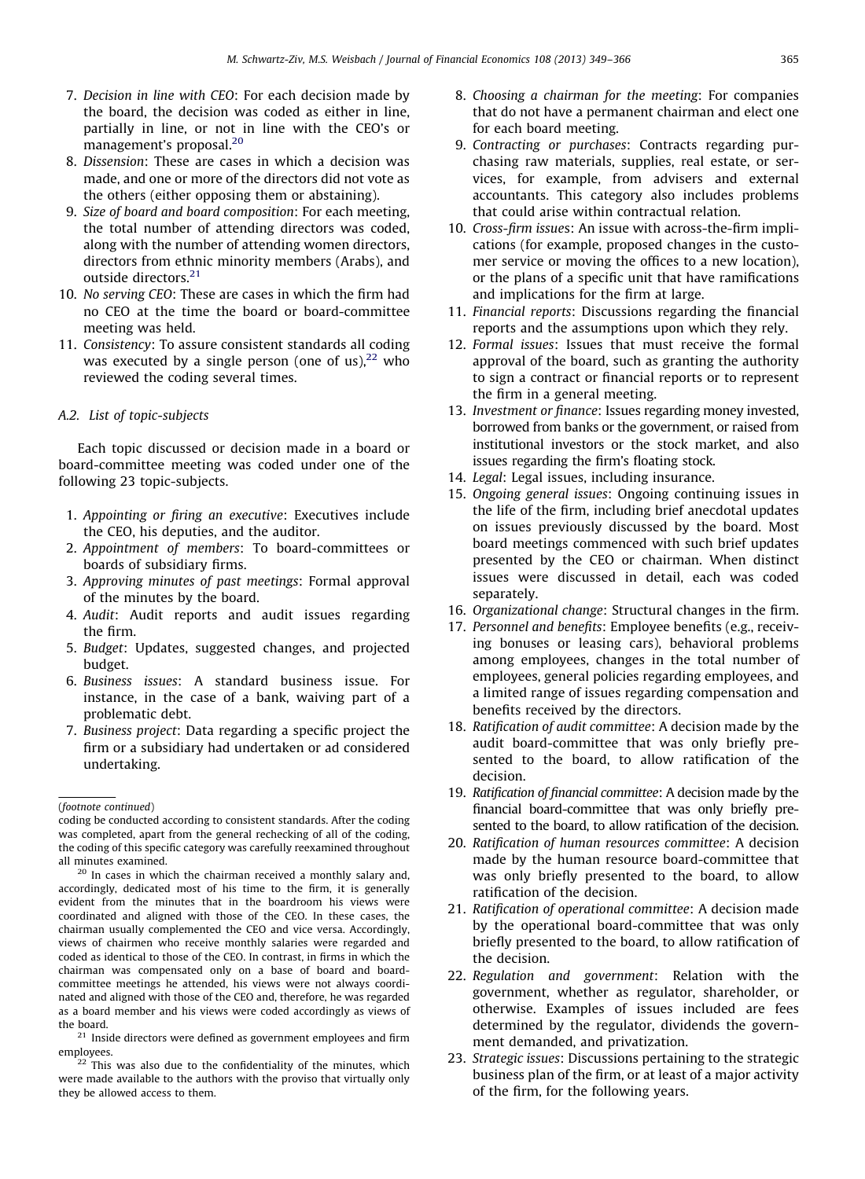- 7. Decision in line with CEO: For each decision made by the board, the decision was coded as either in line, partially in line, or not in line with the CEO's or management's proposal.<sup>20</sup>
- 8. Dissension: These are cases in which a decision was made, and one or more of the directors did not vote as the others (either opposing them or abstaining).
- 9. Size of board and board composition: For each meeting, the total number of attending directors was coded, along with the number of attending women directors, directors from ethnic minority members (Arabs), and outside directors.<sup>21</sup>
- 10. No serving CEO: These are cases in which the firm had no CEO at the time the board or board-committee meeting was held.
- 11. Consistency: To assure consistent standards all coding was executed by a single person (one of us).<sup>22</sup> who reviewed the coding several times.

# A.2. List of topic-subjects

Each topic discussed or decision made in a board or board-committee meeting was coded under one of the following 23 topic-subjects.

- 1. Appointing or firing an executive: Executives include the CEO, his deputies, and the auditor.
- 2. Appointment of members: To board-committees or boards of subsidiary firms.
- 3. Approving minutes of past meetings: Formal approval of the minutes by the board.
- 4. Audit: Audit reports and audit issues regarding the firm.
- 5. Budget: Updates, suggested changes, and projected budget.
- 6. Business issues: A standard business issue. For instance, in the case of a bank, waiving part of a problematic debt.
- 7. Business project: Data regarding a specific project the firm or a subsidiary had undertaken or ad considered undertaking.
- 8. Choosing a chairman for the meeting: For companies that do not have a permanent chairman and elect one for each board meeting.
- 9. Contracting or purchases: Contracts regarding purchasing raw materials, supplies, real estate, or services, for example, from advisers and external accountants. This category also includes problems that could arise within contractual relation.
- 10. Cross-firm issues: An issue with across-the-firm implications (for example, proposed changes in the customer service or moving the offices to a new location), or the plans of a specific unit that have ramifications and implications for the firm at large.
- 11. Financial reports: Discussions regarding the financial reports and the assumptions upon which they rely.
- 12. Formal issues: Issues that must receive the formal approval of the board, such as granting the authority to sign a contract or financial reports or to represent the firm in a general meeting.
- 13. Investment or finance: Issues regarding money invested, borrowed from banks or the government, or raised from institutional investors or the stock market, and also issues regarding the firm's floating stock.
- 14. Legal: Legal issues, including insurance.
- 15. Ongoing general issues: Ongoing continuing issues in the life of the firm, including brief anecdotal updates on issues previously discussed by the board. Most board meetings commenced with such brief updates presented by the CEO or chairman. When distinct issues were discussed in detail, each was coded separately.
- 16. Organizational change: Structural changes in the firm.
- 17. Personnel and benefits: Employee benefits (e.g., receiving bonuses or leasing cars), behavioral problems among employees, changes in the total number of employees, general policies regarding employees, and a limited range of issues regarding compensation and benefits received by the directors.
- 18. Ratification of audit committee: A decision made by the audit board-committee that was only briefly presented to the board, to allow ratification of the decision.
- 19. Ratification of financial committee: A decision made by the financial board-committee that was only briefly presented to the board, to allow ratification of the decision.
- 20. Ratification of human resources committee: A decision made by the human resource board-committee that was only briefly presented to the board, to allow ratification of the decision.
- 21. Ratification of operational committee: A decision made by the operational board-committee that was only briefly presented to the board, to allow ratification of the decision.
- 22. Regulation and government: Relation with the government, whether as regulator, shareholder, or otherwise. Examples of issues included are fees determined by the regulator, dividends the government demanded, and privatization.
- 23. Strategic issues: Discussions pertaining to the strategic business plan of the firm, or at least of a major activity of the firm, for the following years.

<sup>(</sup>footnote continued)

coding be conducted according to consistent standards. After the coding was completed, apart from the general rechecking of all of the coding, the coding of this specific category was carefully reexamined throughout all minutes examined.

<sup>&</sup>lt;sup>20</sup> In cases in which the chairman received a monthly salary and, accordingly, dedicated most of his time to the firm, it is generally evident from the minutes that in the boardroom his views were coordinated and aligned with those of the CEO. In these cases, the chairman usually complemented the CEO and vice versa. Accordingly, views of chairmen who receive monthly salaries were regarded and coded as identical to those of the CEO. In contrast, in firms in which the chairman was compensated only on a base of board and boardcommittee meetings he attended, his views were not always coordinated and aligned with those of the CEO and, therefore, he was regarded as a board member and his views were coded accordingly as views of the board.

 $21$  Inside directors were defined as government employees and firm employees.

 $22$  This was also due to the confidentiality of the minutes, which were made available to the authors with the proviso that virtually only they be allowed access to them.